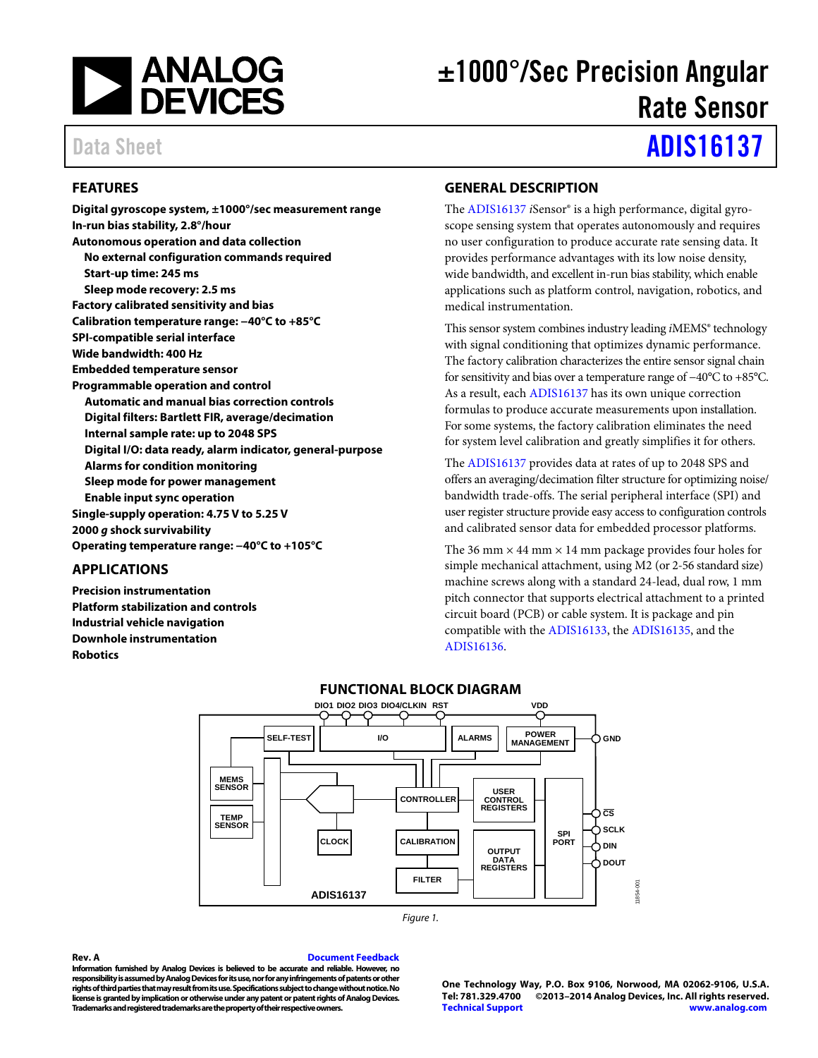

# ±1000°/Sec Precision Angular Rate Sensor

# Data Sheet **[ADIS16137](http://www.analog.com/ADIS16137?doc=ADIS16137.pdf)**

# <span id="page-0-0"></span>**FEATURES**

**Digital gyroscope system, ±1000°/sec measurement range In-run bias stability, 2.8°/hour Autonomous operation and data collection No external configuration commands required Start-up time: 245 ms Sleep mode recovery: 2.5 ms Factory calibrated sensitivity and bias Calibration temperature range: −40°C to +85°C SPI-compatible serial interface Wide bandwidth: 400 Hz Embedded temperature sensor Programmable operation and control Automatic and manual bias correction controls Digital filters: Bartlett FIR, average/decimation Internal sample rate: up to 2048 SPS Digital I/O: data ready, alarm indicator, general-purpose Alarms for condition monitoring Sleep mode for power management Enable input sync operation Single-supply operation: 4.75 V to 5.25 V 2000** *g* **shock survivability Operating temperature range: −40°C to +105°C**

# <span id="page-0-1"></span>**APPLICATIONS**

<span id="page-0-3"></span>**Precision instrumentation Platform stabilization and controls Industrial vehicle navigation Downhole instrumentation Robotics**

# <span id="page-0-2"></span>**GENERAL DESCRIPTION**

The [ADIS16137](http://www.analog.com/ADIS16137?doc=ADIS16137.pdf) *i*Sensor® is a high performance, digital gyroscope sensing system that operates autonomously and requires no user configuration to produce accurate rate sensing data. It provides performance advantages with its low noise density, wide bandwidth, and excellent in-run bias stability, which enable applications such as platform control, navigation, robotics, and medical instrumentation.

This sensor system combines industry leading *i*MEMS® technology with signal conditioning that optimizes dynamic performance. The factory calibration characterizes the entire sensor signal chain for sensitivity and bias over a temperature range of −40°C to +85°C. As a result, eac[h ADIS16137](http://www.analog.com/ADIS16137?doc=ADIS16137.pdf) has its own unique correction formulas to produce accurate measurements upon installation. For some systems, the factory calibration eliminates the need for system level calibration and greatly simplifies it for others.

The [ADIS16137](http://www.analog.com/ADIS16137?doc=ADIS16137.pdf) provides data at rates of up to 2048 SPS and offers an averaging/decimation filter structure for optimizing noise/ bandwidth trade-offs. The serial peripheral interface (SPI) and user register structure provide easy access to configuration controls and calibrated sensor data for embedded processor platforms.

The 36 mm  $\times$  44 mm  $\times$  14 mm package provides four holes for simple mechanical attachment, using M2 (or 2-56 standard size) machine screws along with a standard 24-lead, dual row, 1 mm pitch connector that supports electrical attachment to a printed circuit board (PCB) or cable system. It is package and pin compatible with th[e ADIS16133,](http://www.analog.com/ADIS16133?doc=ADIS16137.pdf) the [ADIS16135,](http://www.analog.com/ADIS16135?doc=ADIS16137.pdf) and the [ADIS16136.](http://www.analog.com/ADIS16136?doc=ADIS16137.pdf)



#### **Rev. A [Document Feedback](https://form.analog.com/Form_Pages/feedback/documentfeedback.aspx?doc=ADIS16137.pdf&product=ADIS16137&rev=A)**

**Information furnished by Analog Devices is believed to be accurate and reliable. However, no responsibility is assumed by Analog Devices for its use, nor for any infringements of patents or other rights of third parties that may result from its use. Specifications subject to change without notice. No license is granted by implication or otherwise under any patent or patent rights of Analog Devices. Trademarks and registered trademarks are the property of their respective owners.**

**One Technology Way, P.O. Box 9106, Norwood, MA 02062-9106, U.S.A. Tel: 781.329.4700 ©2013–2014 Analog Devices, Inc. All rights reserved. [Technical Support](http://www.analog.com/en/content/technical_support_page/fca.html) [www.analog.com](http://www.analog.com/)**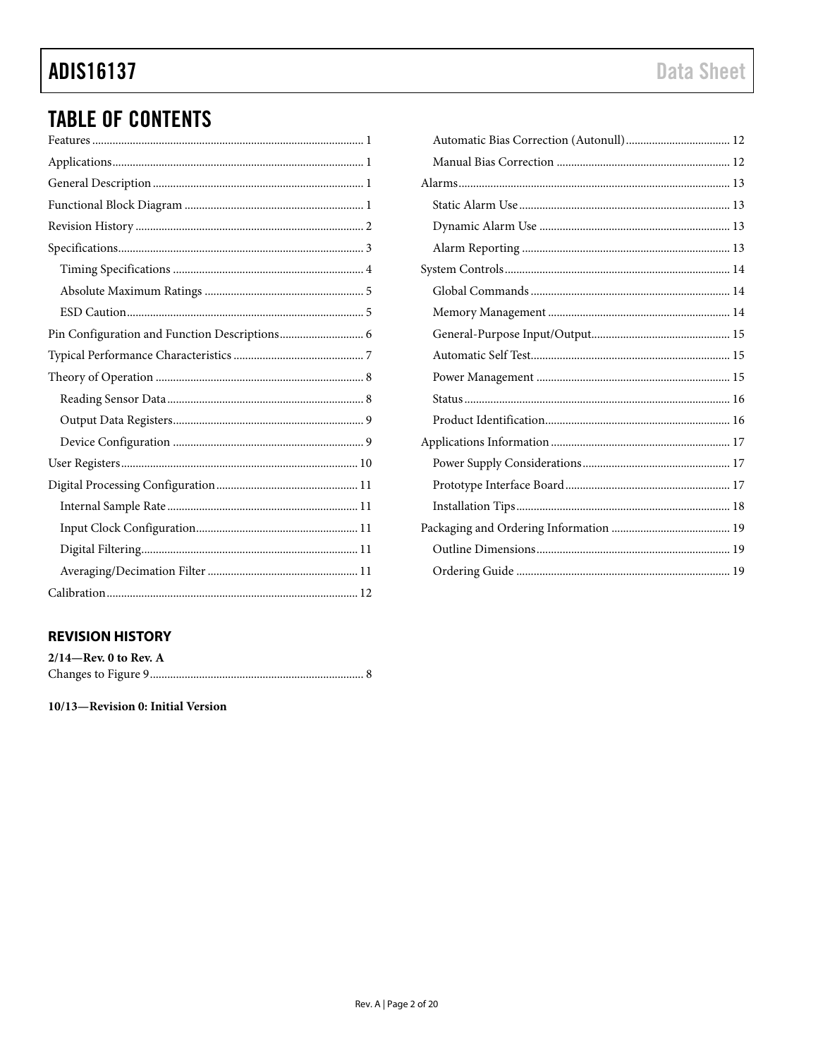# **ADIS16137**

# **TABLE OF CONTENTS**

# <span id="page-1-0"></span>**REVISION HISTORY**

| $2/14$ —Rev. 0 to Rev. A |  |
|--------------------------|--|
|                          |  |

10/13-Revision 0: Initial Version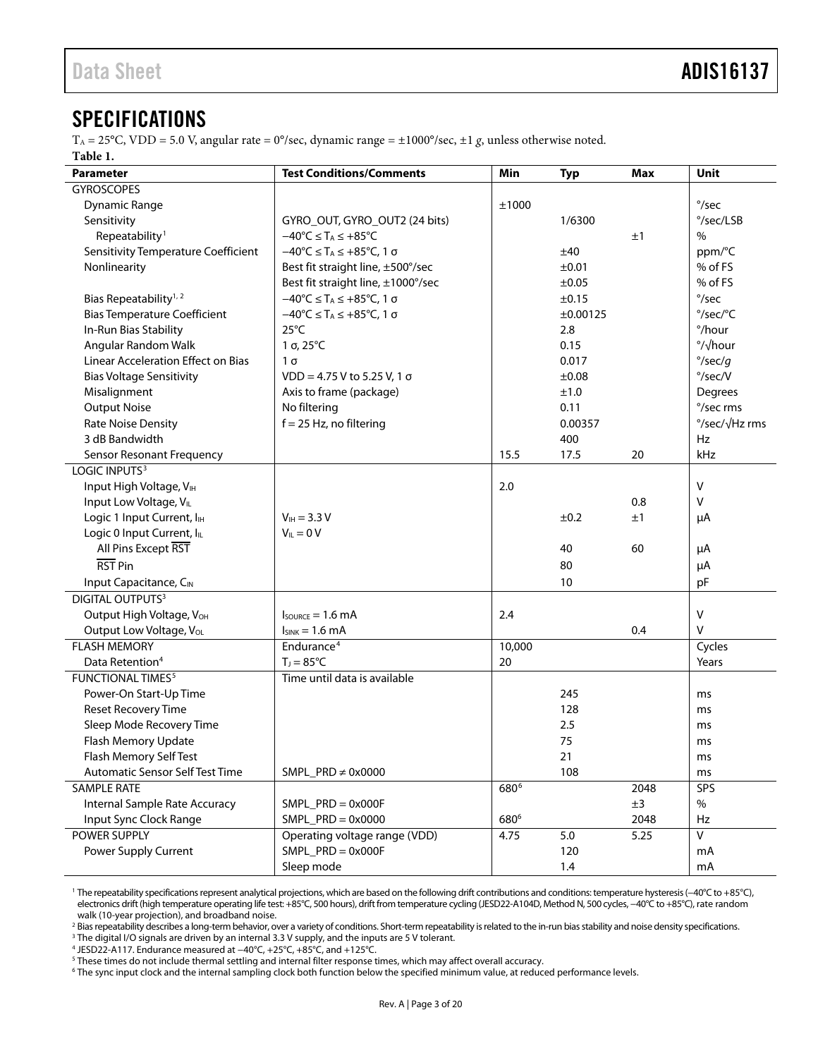# <span id="page-2-0"></span>**SPECIFICATIONS**

<span id="page-2-1"></span>TA = 25°C, VDD = 5.0 V, angular rate = 0°/sec, dynamic range = ±1000°/sec, ±1 *g*, unless otherwise noted. **Table 1.** 

| <b>Parameter</b>                                          | <b>Test Conditions/Comments</b>                                           | Min              | <b>Typ</b> | Max  | Unit                       |
|-----------------------------------------------------------|---------------------------------------------------------------------------|------------------|------------|------|----------------------------|
| <b>GYROSCOPES</b>                                         |                                                                           |                  |            |      |                            |
| <b>Dynamic Range</b>                                      |                                                                           | ±1000            |            |      | $\degree$ /sec             |
| Sensitivity                                               | GYRO_OUT, GYRO_OUT2 (24 bits)                                             |                  | 1/6300     |      | °/sec/LSB                  |
| Repeatability <sup>1</sup>                                | $-40^{\circ}C \leq T_A \leq +85^{\circ}C$                                 |                  |            | ±1   | $\%$                       |
| <b>Sensitivity Temperature Coefficient</b>                | $-40^{\circ}$ C $\leq$ T <sub>A</sub> $\leq$ +85 $^{\circ}$ C, 1 $\sigma$ |                  | ±40        |      | ppm/°C                     |
| Nonlinearity                                              | Best fit straight line, ±500°/sec                                         |                  | ±0.01      |      | % of FS                    |
|                                                           | Best fit straight line, ±1000°/sec                                        |                  | ±0.05      |      | % of FS                    |
| Bias Repeatability <sup>1, 2</sup>                        | $-40^{\circ}$ C $\leq$ T <sub>A</sub> $\leq$ +85 $^{\circ}$ C, 1 $\sigma$ |                  | ±0.15      |      | $\degree$ /sec             |
| <b>Bias Temperature Coefficient</b>                       | $-40^{\circ}$ C $\leq$ T <sub>A</sub> $\leq$ +85 $^{\circ}$ C, 1 $\sigma$ |                  | ±0.00125   |      | °/sec/°C                   |
| In-Run Bias Stability                                     | $25^{\circ}$ C                                                            |                  | 2.8        |      | °/hour                     |
| Angular Random Walk                                       | $1 \sigma$ , $25^{\circ}$ C                                               |                  | 0.15       |      | $\frac{\circ}{\sqrt{\pi}}$ |
| <b>Linear Acceleration Effect on Bias</b>                 | $1\sigma$                                                                 |                  | 0.017      |      | $\degree$ /sec/g           |
| <b>Bias Voltage Sensitivity</b>                           | $VDD = 4.75 V$ to 5.25 V, 1 $\sigma$                                      |                  | ±0.08      |      | $\degree$ /sec/V           |
| Misalignment                                              | Axis to frame (package)                                                   |                  | ±1.0       |      | Degrees                    |
| <b>Output Noise</b>                                       | No filtering                                                              |                  | 0.11       |      | °/sec rms                  |
| <b>Rate Noise Density</b>                                 | $f = 25$ Hz, no filtering                                                 |                  | 0.00357    |      | °/sec/√Hz rms              |
| 3 dB Bandwidth                                            |                                                                           |                  | 400        |      | Hz                         |
| <b>Sensor Resonant Frequency</b>                          |                                                                           | 15.5             | 17.5       | 20   | kHz                        |
| LOGIC INPUTS <sup>3</sup>                                 |                                                                           |                  |            |      |                            |
| Input High Voltage, VIH                                   |                                                                           | 2.0              |            |      | $\mathsf{V}$               |
| Input Low Voltage, VIL                                    |                                                                           |                  |            | 0.8  | $\mathsf{V}$               |
| Logic 1 Input Current, I <sub>IH</sub>                    | $V_{IH} = 3.3 V$                                                          |                  | ±0.2       | ±1   | μA                         |
| Logic 0 Input Current, IL                                 | $V_{IL} = 0 V$                                                            |                  |            |      |                            |
| All Pins Except RST                                       |                                                                           |                  | 40         | 60   | μA                         |
| RST Pin                                                   |                                                                           |                  | 80         |      | μA                         |
| Input Capacitance, CIN                                    |                                                                           |                  | 10         |      | pF                         |
| <b>DIGITAL OUTPUTS3</b>                                   |                                                                           |                  |            |      |                            |
| Output High Voltage, VOH                                  | $I_{\text{SOWRCE}} = 1.6 \text{ mA}$                                      | 2.4              |            |      | $\mathsf{V}$               |
| Output Low Voltage, VoL                                   | $ISINK = 1.6 mA$                                                          |                  |            | 0.4  | $\mathsf{V}$               |
| <b>FLASH MEMORY</b>                                       | Endurance <sup>4</sup>                                                    | 10,000           |            |      | Cycles                     |
| $T_J = 85^{\circ}C$<br>Data Retention <sup>4</sup>        |                                                                           | 20               |            |      | Years                      |
| <b>FUNCTIONAL TIMES<sup>5</sup></b>                       | Time until data is available                                              |                  |            |      |                            |
| Power-On Start-Up Time                                    |                                                                           |                  | 245        |      | ms                         |
| <b>Reset Recovery Time</b>                                |                                                                           |                  | 128        |      | ms                         |
| Sleep Mode Recovery Time                                  |                                                                           |                  | 2.5        |      | ms                         |
| Flash Memory Update                                       |                                                                           |                  | 75         |      | ms                         |
| Flash Memory Self Test                                    |                                                                           |                  | 21         |      | ms                         |
| SMPL_PRD $\neq$ 0x0000<br>Automatic Sensor Self Test Time |                                                                           |                  | 108        |      | ms                         |
| <b>SAMPLE RATE</b>                                        |                                                                           | 680 <sup>6</sup> |            | 2048 | SPS                        |
| Internal Sample Rate Accuracy                             | $SMPL$ PRD = 0x000F                                                       |                  |            | ±3   | $\%$                       |
| Input Sync Clock Range                                    | $SMPL$ PRD = 0x0000                                                       | 680 <sup>6</sup> |            | 2048 | Hz                         |
| POWER SUPPLY                                              | Operating voltage range (VDD)                                             | 4.75             | $5.0$      | 5.25 | $\mathsf{V}$               |
| Power Supply Current                                      | $SMPL$ _PRD = 0x000F                                                      |                  | 120        |      | mA                         |
|                                                           | Sleep mode                                                                |                  | 1.4        |      | mA                         |

<sup>1</sup> The repeatability specifications represent analytical projections, which are based on the following drift contributions and conditions: temperature hysteresis (−40°C to +85°C), electronics drift (high temperature operating life test: +85°C, 500 hours), drift from temperature cycling (JESD22-A104D, Method N, 500 cycles, −40°C to +85°C), rate random walk (10-year projection), and broadband noise.

<sup>2</sup> Bias repeatability describes a long-term behavior, over a variety of conditions. Short-term repeatability is related to the in-run bias stability and noise density specifications.<br><sup>3</sup> The digital I/O signals are driven

<sup>5</sup> These times do not include thermal settling and internal filter response times, which may affect overall accuracy.

<sup>6</sup> The sync input clock and the internal sampling clock both function below the specified minimum value, at reduced performance levels.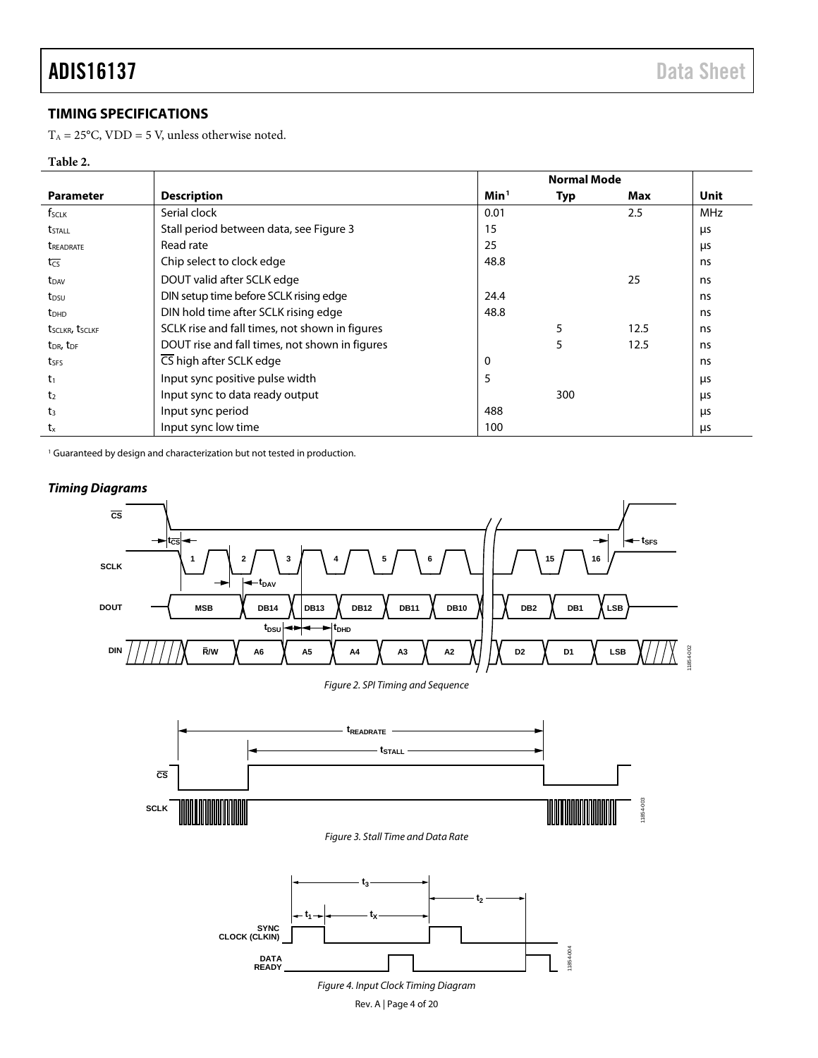# <span id="page-3-0"></span>**TIMING SPECIFICATIONS**

 $T_A = 25$ °C, VDD = 5 V, unless otherwise noted.

## **Table 2.**

|                                   |                                                |                  | <b>Normal Mode</b> |      |            |
|-----------------------------------|------------------------------------------------|------------------|--------------------|------|------------|
| <b>Parameter</b>                  | <b>Description</b>                             | Min <sup>1</sup> | Typ                | Max  | Unit       |
| f <sub>SCLK</sub>                 | Serial clock                                   | 0.01             |                    | 2.5  | <b>MHz</b> |
| <b>t</b> <sub>STALL</sub>         | Stall period between data, see Figure 3        | 15               |                    |      | μs         |
| <b><i>UREADRATE</i></b>           | Read rate                                      | 25               |                    |      | μs         |
| $t_{\overline{CS}}$               | Chip select to clock edge                      | 48.8             |                    |      | ns         |
| t <sub>DAV</sub>                  | DOUT valid after SCLK edge                     |                  |                    | 25   | ns         |
| t <sub>DSU</sub>                  | DIN setup time before SCLK rising edge         | 24.4             |                    |      | ns         |
| <b>t</b> <sub>DHD</sub>           | DIN hold time after SCLK rising edge           | 48.8             |                    |      | ns         |
| tsclkr, tsclkf                    | SCLK rise and fall times, not shown in figures |                  | 5                  | 12.5 | ns         |
| t <sub>DR</sub> , t <sub>DF</sub> | DOUT rise and fall times, not shown in figures |                  | 5                  | 12.5 | ns         |
| tses                              | CS high after SCLK edge                        | 0                |                    |      | ns         |
| tı                                | Input sync positive pulse width                | 5                |                    |      | μs         |
| t <sub>2</sub>                    | Input sync to data ready output                |                  | 300                |      | μs         |
| t3                                | Input sync period                              | 488              |                    |      | μs         |
| $t_{x}$                           | Input sync low time                            | 100              |                    |      | μs         |

<sup>1</sup> Guaranteed by design and characterization but not tested in production.

<span id="page-3-1"></span>

Rev. A | Page 4 of 20

## *Timing Diagrams*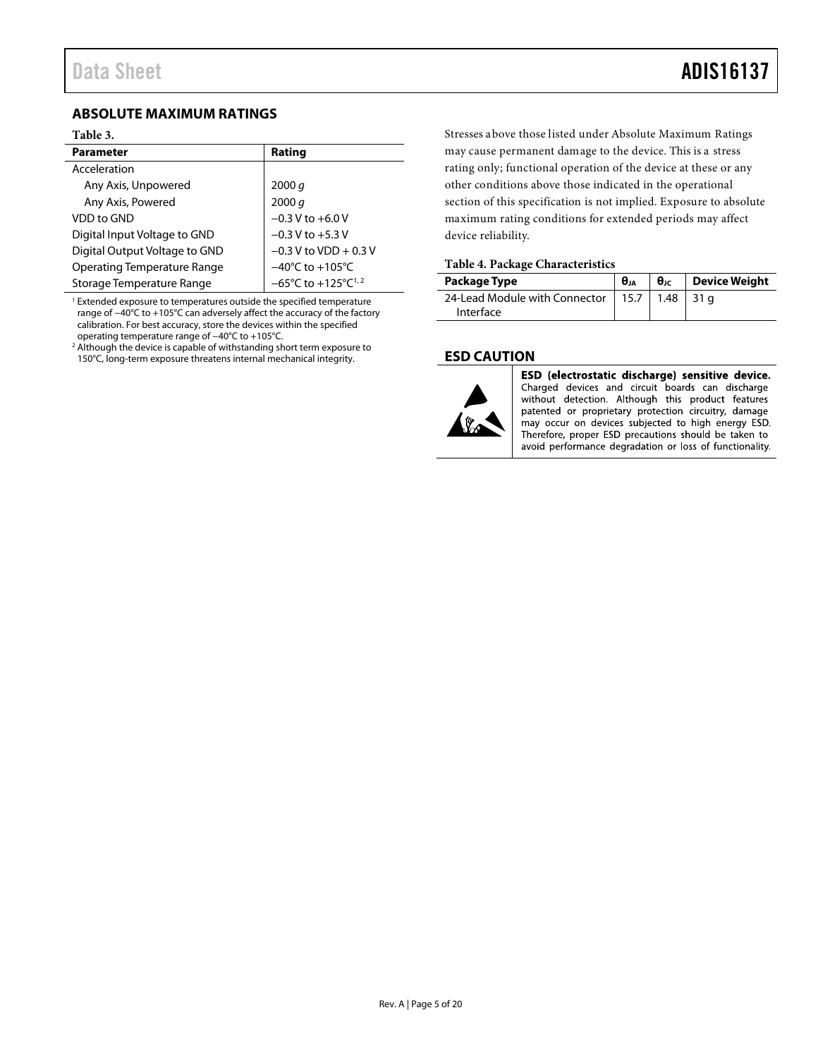# <span id="page-4-0"></span>**ABSOLUTE MAXIMUM RATINGS**

#### **Table 3.**

| <b>Parameter</b>              | Rating                                              |
|-------------------------------|-----------------------------------------------------|
| Acceleration                  |                                                     |
| Any Axis, Unpowered           | 2000 q                                              |
| Any Axis, Powered             | 2000 q                                              |
| VDD to GND                    | $-0.3$ V to $+6.0$ V                                |
| Digital Input Voltage to GND  | $-0.3$ V to $+5.3$ V                                |
| Digital Output Voltage to GND | $-0.3$ V to VDD + 0.3 V                             |
| Operating Temperature Range   | $-40^{\circ}$ C to $+105^{\circ}$ C                 |
| Storage Temperature Range     | $-65^{\circ}$ C to +125 $^{\circ}$ C <sup>1,2</sup> |

 $1$  Extended exposure to temperatures outside the specified temperature range of −40°C to +105°C can adversely affect the accuracy of the factory calibration. For best accuracy, store the devices within the specified operating temperature range of −40°C to +105°C.

<sup>2</sup> Although the device is capable of withstanding short term exposure to 150°C, long-term exposure threatens internal mechanical integrity.

Stresses above those listed under Absolute Maximum Ratings may cause permanent damage to the device. This is a stress rating only; functional operation of the device at these or any other conditions above those indicated in the operational section of this specification is not implied. Exposure to absolute maximum rating conditions for extended periods may affect device reliability.

### **Table 4. Package Characteristics**

| Package Type                                                    | $\theta_{JA}$ | $\theta_{\text{JC}}$ Device Weight |
|-----------------------------------------------------------------|---------------|------------------------------------|
| 24-Lead Module with Connector   15.7   1.48   31 g<br>Interface |               |                                    |

### <span id="page-4-1"></span>**ESD CAUTION**



ESD (electrostatic discharge) sensitive device. Charged devices and circuit boards can discharge without detection. Although this product features patented or proprietary protection circuitry, damage may occur on devices subjected to high energy ESD. Therefore, proper ESD precautions should be taken to avoid performance degradation or loss of functionality.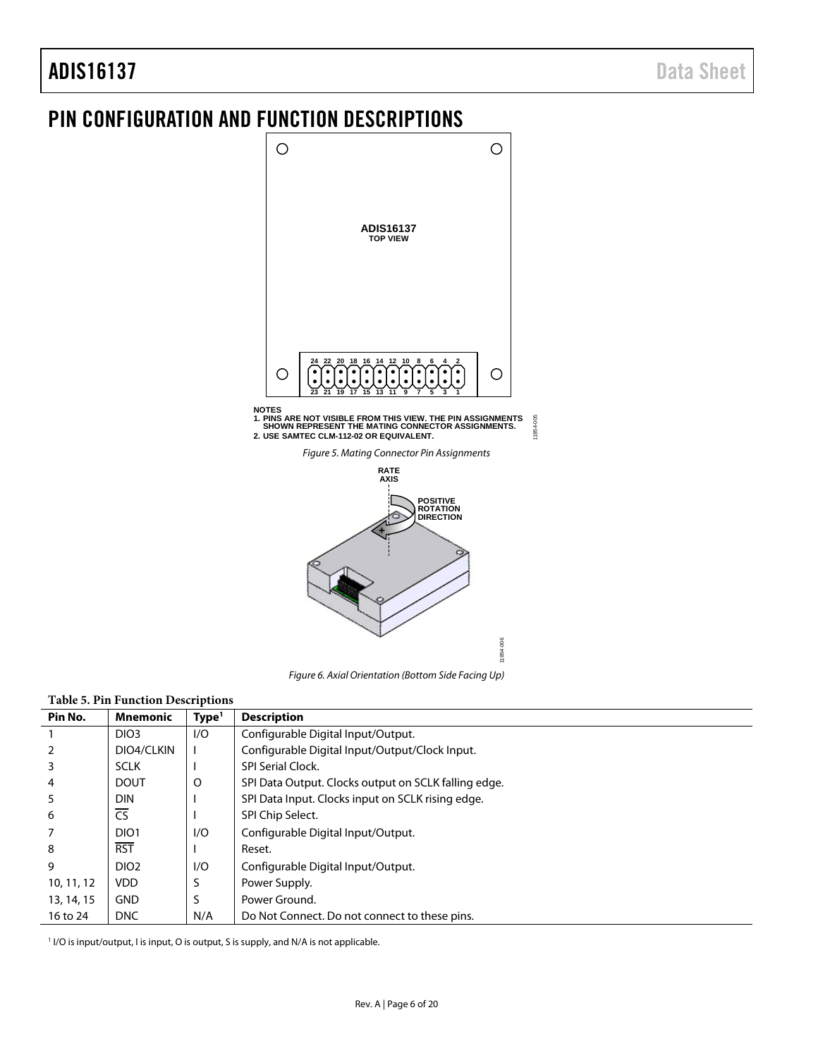# ADIS16137 Data Sheet

# <span id="page-5-0"></span>PIN CONFIGURATION AND FUNCTION DESCRIPTIONS



**NOTES**

**1. PINS ARE NOT VISIBLE FROM THIS VIEW. THE PIN ASSIGNMENTS SHOWN REPRESENT THE MATING CONNECTOR ASSIGNMENTS. 2. USE SAMTEC CLM-112-02 OR EQUIVALENT.**

11854-005

 $-005$ 1854-

11854-006

Figure 5. Mating Connector Pin Assignments



Figure 6. Axial Orientation (Bottom Side Facing Up)

## <span id="page-5-1"></span>**Table 5. Pin Function Descriptions**

| Pin No.        | <b>Mnemonic</b>        | Type <sup>1</sup> | <b>Description</b>                                   |
|----------------|------------------------|-------------------|------------------------------------------------------|
|                | DIO <sub>3</sub>       | 1/O               | Configurable Digital Input/Output.                   |
| $\overline{2}$ | DIO4/CLKIN             |                   | Configurable Digital Input/Output/Clock Input.       |
| 3              | <b>SCLK</b>            |                   | <b>SPI Serial Clock.</b>                             |
| 4              | <b>DOUT</b>            | O                 | SPI Data Output. Clocks output on SCLK falling edge. |
| 5              | <b>DIN</b>             |                   | SPI Data Input. Clocks input on SCLK rising edge.    |
| 6              | $\overline{\text{CS}}$ |                   | SPI Chip Select.                                     |
| 7              | DIO <sub>1</sub>       | 1/O               | Configurable Digital Input/Output.                   |
| 8              | <b>RST</b>             |                   | Reset.                                               |
| 9              | DIO <sub>2</sub>       | 1/O               | Configurable Digital Input/Output.                   |
| 10, 11, 12     | <b>VDD</b>             | S                 | Power Supply.                                        |
| 13, 14, 15     | <b>GND</b>             | S                 | Power Ground.                                        |
| 16 to 24       | <b>DNC</b>             | N/A               | Do Not Connect. Do not connect to these pins.        |

<sup>1</sup> I/O is input/output, I is input, O is output, S is supply, and N/A is not applicable.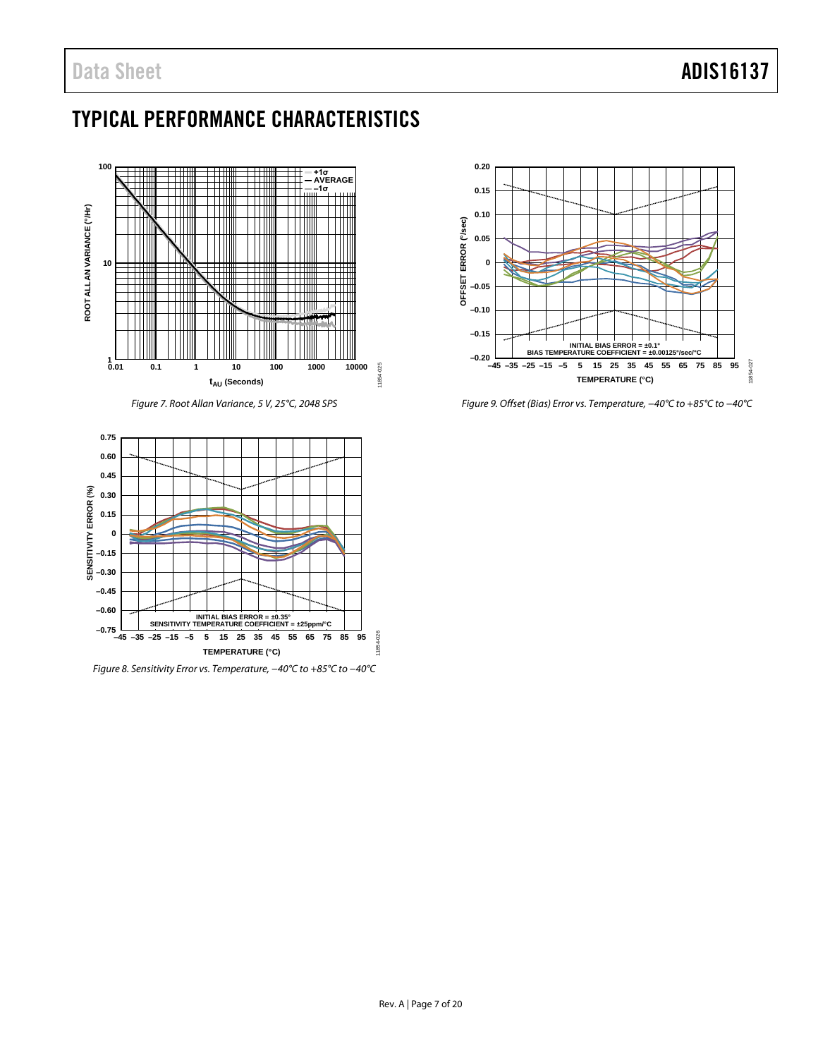# <span id="page-6-0"></span>TYPICAL PERFORMANCE CHARACTERISTICS



*Figure 7. Root Allan Variance, 5 V, 25°C, 2048 SPS*

<span id="page-6-1"></span>

*Figure 8. Sensitivity Error vs. Temperature, −40°C to +85°C to −40°C*



*Figure 9. Offset (Bias) Error vs. Temperature, −40°C to +85°C to −40°C*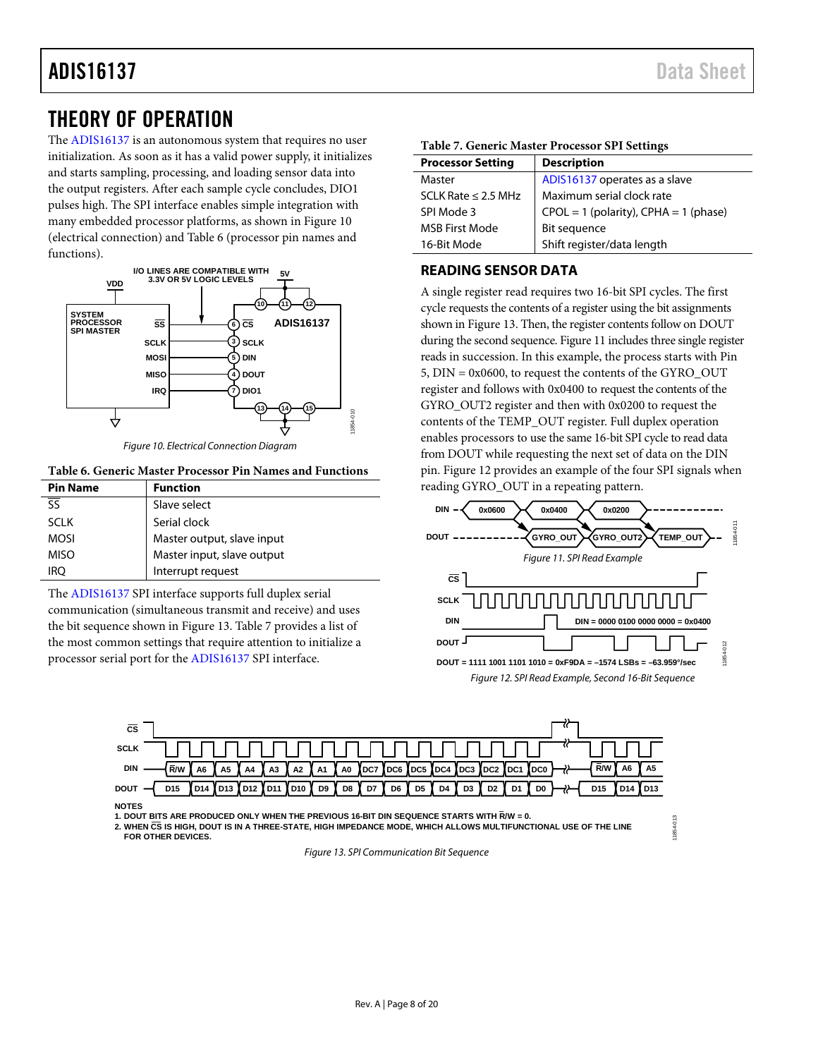# <span id="page-7-0"></span>THEORY OF OPERATION

The [ADIS16137](http://www.analog.com/ADIS16137?doc=ADIS16137.pdf) is an autonomous system that requires no user initialization. As soon as it has a valid power supply, it initializes and starts sampling, processing, and loading sensor data into the output registers. After each sample cycle concludes, DIO1 pulses high. The SPI interface enables simple integration with many embedded processor platforms, as shown i[n Figure 10](#page-7-2)  (electrical connection) an[d Table 6 \(](#page-7-3)processor pin names and functions).



Figure 10. Electrical Connection Diagram

#### <span id="page-7-3"></span><span id="page-7-2"></span>**Table 6. Generic Master Processor Pin Names and Functions**

| <b>Pin Name</b> | <b>Function</b>            |
|-----------------|----------------------------|
|                 | Slave select               |
| <b>SCLK</b>     | Serial clock               |
| <b>MOSI</b>     | Master output, slave input |
| <b>MISO</b>     | Master input, slave output |
| iro             | Interrupt request          |

The [ADIS16137](http://www.analog.com/ADIS16137?doc=ADIS16137.pdf) SPI interface supports full duplex serial communication (simultaneous transmit and receive) and uses the bit sequence shown in [Figure 13.](#page-7-4) [Table 7 p](#page-7-5)rovides a list of the most common settings that require attention to initialize a processor serial port for the [ADIS16137](http://www.analog.com/ADIS16137?doc=ADIS16137.pdf) SPI interface.

### <span id="page-7-5"></span>**Table 7. Generic Master Processor SPI Settings**

| <b>Description</b>                        |
|-------------------------------------------|
| ADIS16137 operates as a slave             |
| Maximum serial clock rate                 |
| $CPOL = 1$ (polarity), $CPHA = 1$ (phase) |
| Bit sequence                              |
| Shift register/data length                |
|                                           |

### <span id="page-7-1"></span>**READING SENSOR DATA**

A single register read requires two 16-bit SPI cycles. The first cycle requests the contents of a register using the bit assignments shown i[n Figure 13.](#page-7-4) Then, the register contents follow on DOUT during the second sequence[. Figure 11](#page-7-6) includes three single register reads in succession. In this example, the process starts with Pin 5, DIN = 0x0600, to request the contents of the GYRO\_OUT register and follows with 0x0400 to request the contents of the GYRO\_OUT2 register and then with 0x0200 to request the contents of the TEMP\_OUT register. Full duplex operation enables processors to use the same 16-bit SPI cycle to read data from DOUT while requesting the next set of data on the DIN pin. [Figure 12 p](#page-7-7)rovides an example of the four SPI signals when reading GYRO\_OUT in a repeating pattern.

<span id="page-7-7"></span><span id="page-7-6"></span>

11854-013

854-013



**NOTES**

**1. DOUT BITS ARE PRODUCED ONLY WHEN THE PREVIOUS 16-BIT DIN SEQUENCE STARTS WITH R/W = 0.**

<span id="page-7-4"></span>**2. WHEN CS IS HIGH, DOUT IS IN A THREE-STATE, HIGH IMPEDANCE MODE, WHICH ALLOWS MULTIFUNCTIONAL USE OF THE LINE FOR OTHER DEVICES.**

Figure 13. SPI Communication Bit Sequence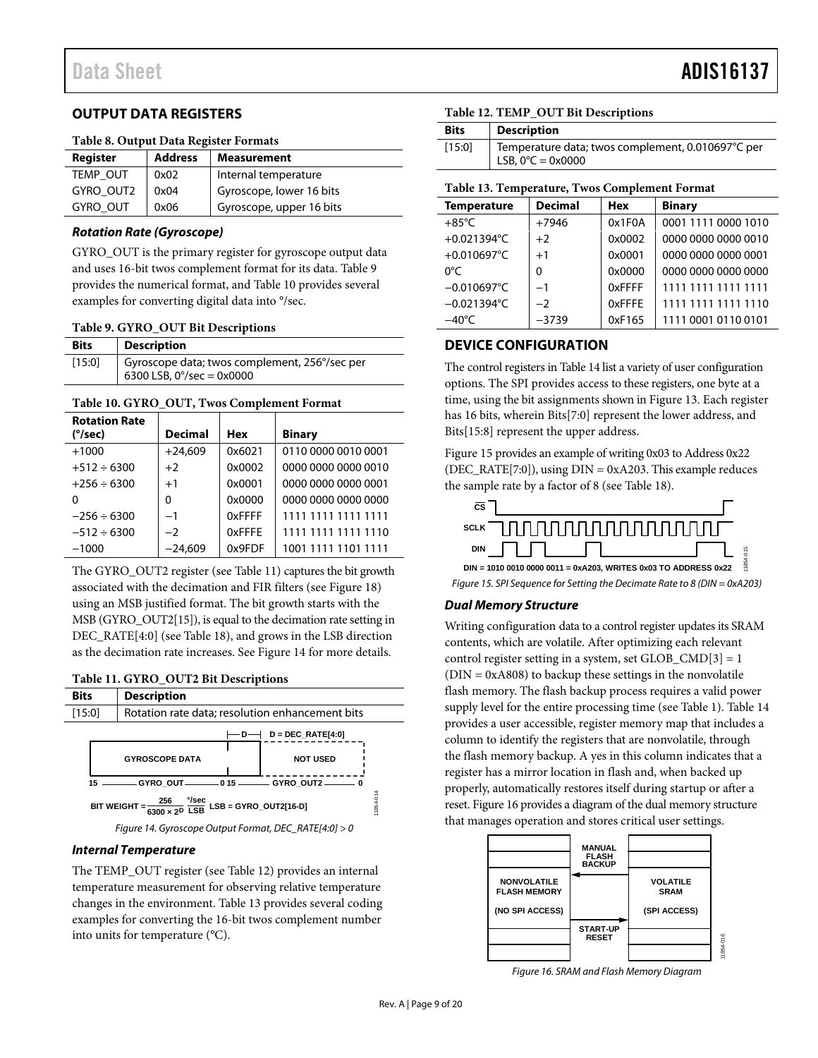# <span id="page-8-0"></span>**OUTPUT DATA REGISTERS**

#### **Table 8. Output Data Register Formats**

| Register        | <b>Address</b> | <b>Measurement</b>       |
|-----------------|----------------|--------------------------|
| <b>TEMP OUT</b> | 0x02           | Internal temperature     |
| GYRO_OUT2       | 0x04           | Gyroscope, lower 16 bits |
| GYRO_OUT        | 0x06           | Gyroscope, upper 16 bits |

## **Rotation Rate (Gyroscope)**

GYRO\_OUT is the primary register for gyroscope output data and uses 16-bit twos complement format for its data. [Table 9](#page-8-2)  provides the numerical format, and [Table 10 p](#page-8-3)rovides several examples for converting digital data into °/sec.

#### <span id="page-8-2"></span>**Table 9. GYRO\_OUT Bit Descriptions**

| <b>Bits</b> | <b>Description</b>                                                                         |
|-------------|--------------------------------------------------------------------------------------------|
| [15:0]      | Gyroscope data; twos complement, 256°/sec per<br>6300 LSB, $0^{\circ}/sec = 0 \times 0000$ |

### <span id="page-8-3"></span>**Table 10. GYRO\_OUT, Twos Complement Format**

| <b>Rotation Rate</b><br>(°/sec) | <b>Decimal</b> | Hex    | <b>Binary</b>       |
|---------------------------------|----------------|--------|---------------------|
|                                 |                |        |                     |
| $+1000$                         | $+24.609$      | 0x6021 | 0110 0000 0010 0001 |
| $+512 \div 6300$                | $+2$           | 0x0002 | 0000 0000 0000 0010 |
| $+256 \div 6300$                | $+1$           | 0x0001 | 0000 0000 0000 0001 |
| O                               | 0              | 0x0000 | 0000 0000 0000 0000 |
| $-256 \div 6300$                | $-1$           | 0xFFFF | 1111 1111 1111 1111 |
| $-512 \div 6300$                | $-2$           | 0xFFFE | 1111 1111 1111 1110 |
| $-1000$                         | $-24.609$      | 0x9FDF | 1001 1111 1101 1111 |

The GYRO\_OUT2 register (se[e Table 11\)](#page-8-4) captures the bit growth associated with the decimation and FIR filters (se[e Figure 18\)](#page-10-5) using an MSB justified format. The bit growth starts with the MSB (GYRO\_OUT2[15]), is equal to the decimation rate setting in DEC\_RATE[4:0] (se[e Table 18\)](#page-10-6), and grows in the LSB direction as the decimation rate increases. See [Figure 14](#page-8-5) for more details.

## <span id="page-8-4"></span>**Table 11. GYRO\_OUT2 Bit Descriptions**



#### <span id="page-8-5"></span>**Internal Temperature**

The TEMP\_OUT register (se[e Table 12\)](#page-8-6) provides an internal temperature measurement for observing relative temperature changes in the environment[. Table 13](#page-8-7) provides several coding examples for converting the 16-bit twos complement number into units for temperature (°C).

## <span id="page-8-6"></span>**Table 12. TEMP\_OUT Bit Descriptions**

| <b>Bits</b> | <b>Description</b>                                                                     |
|-------------|----------------------------------------------------------------------------------------|
| [15:0]      | Temperature data; twos complement, 0.010697°C per<br>LSB, $0^{\circ}C = 0 \times 0000$ |

### <span id="page-8-7"></span>**Table 13. Temperature, Twos Complement Format**

| <b>Temperature</b>    | <b>Decimal</b> | <b>Hex</b> | <b>Binary</b>       |
|-----------------------|----------------|------------|---------------------|
| $+85^{\circ}$ C       | $+7946$        | 0x1F0A     | 0001 1111 0000 1010 |
| +0.021394°C           | $+2$           | 0x0002     | 0000 0000 0000 0010 |
| +0.010697°C           | $+1$           | 0x0001     | 0000 0000 0000 0001 |
| 0°C                   | $\Omega$       | 0x0000     | 0000 0000 0000 0000 |
| $-0.010697^{\circ}$ C | $-1$           | 0xFFFF     | 1111 1111 1111 1111 |
| $-0.021394$ °C        | $-2$           | 0xFFFE     | 1111 1111 1111 1110 |
| $-40^{\circ}$ C       | $-3739$        | 0xF165     | 1111 0001 0110 0101 |

# <span id="page-8-1"></span>**DEVICE CONFIGURATION**

The control registers i[n Table 14 l](#page-9-1)ist a variety of user configuration options. The SPI provides access to these registers, one byte at a time, using the bit assignments shown i[n Figure 13.](#page-7-4) Each register has 16 bits, wherein Bits[7:0] represent the lower address, and Bits[15:8] represent the upper address.

[Figure 15 p](#page-8-8)rovides an example of writing 0x03 to Address 0x22 (DEC\_RATE[7:0]), using DIN = 0xA203. This example reduces the sample rate by a factor of 8 (see [Table 18\)](#page-10-6).



<span id="page-8-8"></span>Figure 15. SPI Sequence for Setting the Decimate Rate to 8 (DIN = 0xA203)

# **Dual Memory Structure**

Writing configuration data to a control register updates its SRAM contents, which are volatile. After optimizing each relevant control register setting in a system, set  $GLOB\_CMD[3] = 1$ (DIN = 0xA808) to backup these settings in the nonvolatile flash memory. The flash backup process requires a valid power supply level for the entire processing time (see [Table 1\)](#page-2-1)[. Table 14](#page-9-1)  provides a user accessible, register memory map that includes a column to identify the registers that are nonvolatile, through the flash memory backup. A yes in this column indicates that a register has a mirror location in flash and, when backed up properly, automatically restores itself during startup or after a reset[. Figure 16 p](#page-8-9)rovides a diagram of the dual memory structure that manages operation and stores critical user settings.



<span id="page-8-9"></span>Figure 16. SRAM and Flash Memory Diagram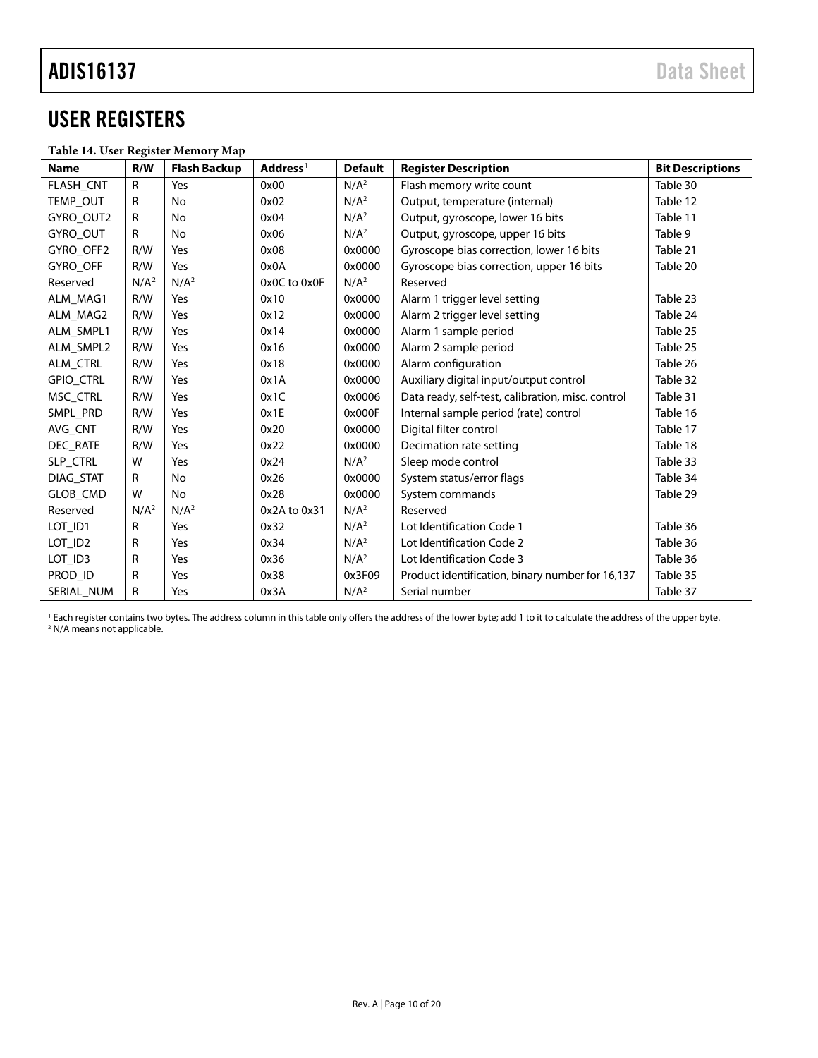# <span id="page-9-0"></span>USER REGISTERS

## <span id="page-9-1"></span>**Table 14. User Register Memory Map**

| <b>Name</b>         | R/W              | <b>Flash Backup</b> | Address <sup>1</sup> | <b>Default</b>   | <b>Register Description</b>                       | <b>Bit Descriptions</b> |
|---------------------|------------------|---------------------|----------------------|------------------|---------------------------------------------------|-------------------------|
| <b>FLASH CNT</b>    | $\mathsf{R}$     | Yes                 | 0x00                 | N/A <sup>2</sup> | Flash memory write count                          | Table 30                |
| TEMP OUT            | R                | No                  | 0x02                 | N/A <sup>2</sup> | Output, temperature (internal)                    | Table 12                |
| GYRO_OUT2           | R                | No                  | 0x04                 | N/A <sup>2</sup> | Output, gyroscope, lower 16 bits                  | Table 11                |
| GYRO_OUT            | R                | No                  | 0x06                 | N/A <sup>2</sup> | Output, gyroscope, upper 16 bits                  | Table 9                 |
| GYRO OFF2           | R/W              | Yes                 | 0x08                 | 0x0000           | Gyroscope bias correction, lower 16 bits          | Table 21                |
| <b>GYRO OFF</b>     | R/W              | Yes                 | 0x0A                 | 0x0000           | Gyroscope bias correction, upper 16 bits          | Table 20                |
| Reserved            | N/A <sup>2</sup> | N/A <sup>2</sup>    | 0x0C to 0x0F         | N/A <sup>2</sup> | Reserved                                          |                         |
| ALM MAG1            | R/W              | Yes                 | 0x10                 | 0x0000           | Alarm 1 trigger level setting                     | Table 23                |
| ALM_MAG2            | R/W              | Yes                 | 0x12                 | 0x0000           | Alarm 2 trigger level setting                     | Table 24                |
| ALM SMPL1           | R/W              | Yes                 | 0x14                 | 0x0000           | Alarm 1 sample period                             | Table 25                |
| ALM SMPL2           | R/W              | Yes                 | 0x16                 | 0x0000           | Alarm 2 sample period                             | Table 25                |
| ALM CTRL            | R/W              | Yes                 | 0x18                 | 0x0000           | Alarm configuration                               | Table 26                |
| GPIO_CTRL           | R/W              | Yes                 | 0x1A                 | 0x0000           | Auxiliary digital input/output control            | Table 32                |
| MSC CTRL            | R/W              | Yes                 | 0x1C                 | 0x0006           | Data ready, self-test, calibration, misc. control | Table 31                |
| SMPL PRD            | R/W              | Yes                 | 0x1E                 | 0x000F           | Internal sample period (rate) control             | Table 16                |
| AVG_CNT             | R/W              | Yes                 | 0x20                 | 0x0000           | Digital filter control                            | Table 17                |
| DEC_RATE            | R/W              | Yes                 | 0x22                 | 0x0000           | Decimation rate setting                           | Table 18                |
| SLP CTRL            | W                | Yes                 | 0x24                 | N/A <sup>2</sup> | Sleep mode control                                | Table 33                |
| DIAG_STAT           | R                | No                  | 0x26                 | 0x0000           | System status/error flags                         | Table 34                |
| <b>GLOB CMD</b>     | W                | No                  | 0x28                 | 0x0000           | System commands                                   | Table 29                |
| Reserved            | N/A <sup>2</sup> | N/A <sup>2</sup>    | 0x2A to 0x31         | N/A <sup>2</sup> | Reserved                                          |                         |
| LOT_ID1             | R                | Yes                 | 0x32                 | N/A <sup>2</sup> | Lot Identification Code 1                         | Table 36                |
| LOT ID <sub>2</sub> | R                | Yes                 | 0x34                 | N/A <sup>2</sup> | Lot Identification Code 2                         | Table 36                |
| LOT ID3             | R                | Yes                 | 0x36                 | N/A <sup>2</sup> | Lot Identification Code 3                         | Table 36                |
| PROD_ID             | R                | Yes                 | 0x38                 | 0x3F09           | Product identification, binary number for 16,137  | Table 35                |
| SERIAL NUM          | R                | Yes                 | 0x3A                 | N/A <sup>2</sup> | Serial number                                     | Table 37                |

<sup>1</sup> Each register contains two bytes. The address column in this table only offers the address of the lower byte; add 1 to it to calculate the address of the upper byte. <sup>2</sup> N/A means not applicable.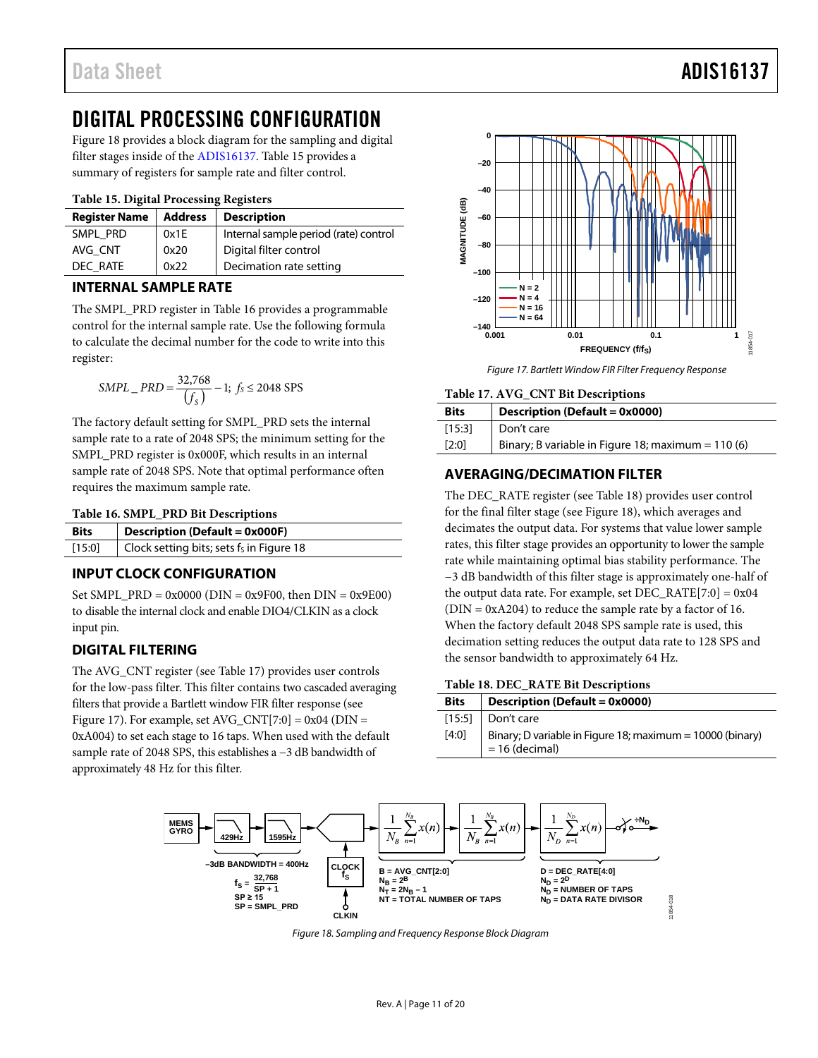# <span id="page-10-0"></span>DIGITAL PROCESSING CONFIGURATION

[Figure 18](#page-10-5) provides a block diagram for the sampling and digital filter stages inside of th[e ADIS16137.](http://www.analog.com/ADIS16137?doc=ADIS16137.pdf) [Table 15](#page-10-9) provides a summary of registers for sample rate and filter control.

## <span id="page-10-9"></span>**Table 15. Digital Processing Registers**

| <b>Register Name</b> | <b>Address</b> | <b>Description</b>                    |
|----------------------|----------------|---------------------------------------|
| SMPL PRD             | 0x1E           | Internal sample period (rate) control |
| AVG CNT              | 0x20           | Digital filter control                |
| DEC RATE             | 0x22           | Decimation rate setting               |

# <span id="page-10-1"></span>**INTERNAL SAMPLE RATE**

The SMPL\_PRD register in [Table 16](#page-10-7) provides a programmable control for the internal sample rate. Use the following formula to calculate the decimal number for the code to write into this register:

$$
SMPL\_PRD = \frac{32,768}{(f_S)} - 1; \ f_S \le 2048 \text{ SPS}
$$

The factory default setting for SMPL\_PRD sets the internal sample rate to a rate of 2048 SPS; the minimum setting for the SMPL\_PRD register is 0x000F, which results in an internal sample rate of 2048 SPS. Note that optimal performance often requires the maximum sample rate.

<span id="page-10-7"></span>

|  |  | Table 16. SMPL_PRD Bit Descriptions |  |  |  |  |
|--|--|-------------------------------------|--|--|--|--|
|--|--|-------------------------------------|--|--|--|--|

| [15:0] | <b>Bits</b> | <b>Description (Default = 0x000F)</b>       |
|--------|-------------|---------------------------------------------|
|        |             | Clock setting bits; sets $f_s$ in Figure 18 |

# <span id="page-10-2"></span>**INPUT CLOCK CONFIGURATION**

Set SMPL\_PRD =  $0x0000$  (DIN =  $0x9F00$ , then DIN =  $0x9E00$ ) to disable the internal clock and enable DIO4/CLKIN as a clock input pin.

# <span id="page-10-3"></span>**DIGITAL FILTERING**

The AVG\_CNT register (se[e Table 17\)](#page-10-8) provides user controls for the low-pass filter. This filter contains two cascaded averaging filters that provide a Bartlett window FIR filter response (see [Figure 17\)](#page-10-10). For example, set  $AVG_CNT[7:0] = 0x04$  (DIN = 0xA004) to set each stage to 16 taps. When used with the default sample rate of 2048 SPS, this establishes a −3 dB bandwidth of approximately 48 Hz for this filter.



*Figure 17. Bartlett Window FIR Filter Frequency Response*

#### <span id="page-10-10"></span><span id="page-10-8"></span>**Table 17. AVG\_CNT Bit Descriptions**

| <b>Bits</b> | <b>Description (Default = 0x0000)</b>              |
|-------------|----------------------------------------------------|
| [15:3]      | Don't care                                         |
| [2:0]       | Binary; B variable in Figure 18; maximum = 110 (6) |

# <span id="page-10-4"></span>**AVERAGING/DECIMATION FILTER**

The DEC\_RATE register (se[e Table 18\)](#page-10-6) provides user control for the final filter stage (se[e Figure 18\)](#page-10-5), which averages and decimates the output data. For systems that value lower sample rates, this filter stage provides an opportunity to lower the sample rate while maintaining optimal bias stability performance. The −3 dB bandwidth of this filter stage is approximately one-half of the output data rate. For example, set  $DEC\_RATE[7:0] = 0x04$  $(DIN = 0xA204)$  to reduce the sample rate by a factor of 16. When the factory default 2048 SPS sample rate is used, this decimation setting reduces the output data rate to 128 SPS and the sensor bandwidth to approximately 64 Hz.

## <span id="page-10-6"></span>**Table 18. DEC\_RATE Bit Descriptions**

| <b>Bits</b> | Description (Default = 0x0000)                                                |
|-------------|-------------------------------------------------------------------------------|
|             | $[15:5]$ Don't care                                                           |
| [4:0]       | Binary; D variable in Figure 18; maximum = 10000 (binary)<br>$= 16$ (decimal) |

<span id="page-10-5"></span>

*Figure 18. Sampling and Frequency Response Block Diagram*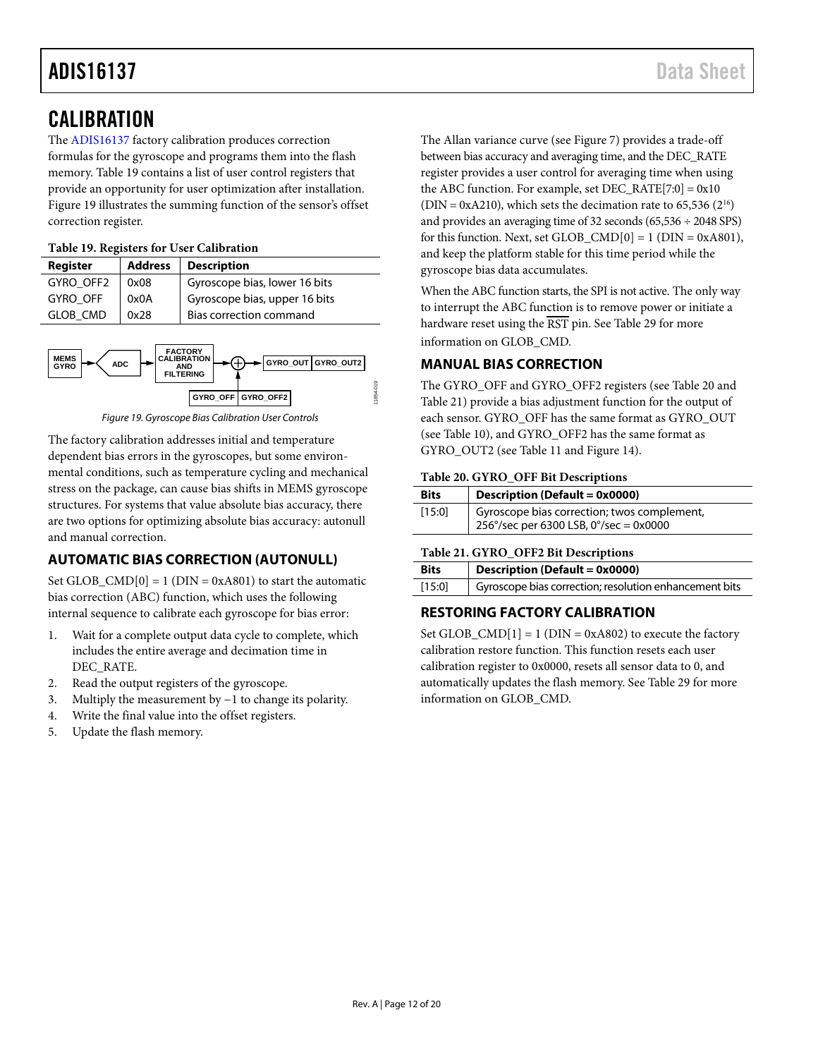# <span id="page-11-0"></span>**CALIBRATION**

The [ADIS16137](http://www.analog.com/ADIS16137?doc=ADIS16137.pdf) factory calibration produces correction formulas for the gyroscope and programs them into the flash memory. [Table 19](#page-11-5) contains a list of user control registers that provide an opportunity for user optimization after installation. [Figure 19](#page-11-6) illustrates the summing function of the sensor's offset correction register.

# <span id="page-11-5"></span>**Table 19. Registers for User Calibration**

| Register        | <b>Address</b> | <b>Description</b>            |
|-----------------|----------------|-------------------------------|
| GYRO OFF2       | 0x08           | Gyroscope bias, lower 16 bits |
| <b>GYRO OFF</b> | 0x0A           | Gyroscope bias, upper 16 bits |
| <b>GLOB CMD</b> | 0x28           | Bias correction command       |



*Figure 19. Gyroscope Bias Calibration User Controls*

<span id="page-11-6"></span>The factory calibration addresses initial and temperature dependent bias errors in the gyroscopes, but some environmental conditions, such as temperature cycling and mechanical stress on the package, can cause bias shifts in MEMS gyroscope structures. For systems that value absolute bias accuracy, there are two options for optimizing absolute bias accuracy: autonull and manual correction.

# <span id="page-11-1"></span>**AUTOMATIC BIAS CORRECTION (AUTONULL)**

Set GLOB\_CMD $[0] = 1$  (DIN = 0xA801) to start the automatic bias correction (ABC) function, which uses the following internal sequence to calibrate each gyroscope for bias error:

- 1. Wait for a complete output data cycle to complete, which includes the entire average and decimation time in DEC\_RATE.
- 2. Read the output registers of the gyroscope.
- 3. Multiply the measurement by −1 to change its polarity.
- 4. Write the final value into the offset registers.
- 5. Update the flash memory.

The Allan variance curve (see [Figure 7\)](#page-6-1) provides a trade-off between bias accuracy and averaging time, and the DEC\_RATE register provides a user control for averaging time when using the ABC function. For example, set  $DEC_RATE[7:0] = 0x10$ (DIN = 0xA210), which sets the decimation rate to 65,536 ( $2^{16}$ ) and provides an averaging time of 32 seconds (65,536 ÷ 2048 SPS) for this function. Next, set GLOB\_CMD[0] = 1 (DIN = 0xA801), and keep the platform stable for this time period while the gyroscope bias data accumulates.

When the ABC function starts, the SPI is not active. The only way to interrupt the ABC function is to remove power or initiate a hardware reset using the  $\overline{\text{RST}}$  pin. See [Table 29](#page-13-4) for more information on GLOB\_CMD.

# <span id="page-11-2"></span>**MANUAL BIAS CORRECTION**

The GYRO\_OFF and GYRO\_OFF2 registers (se[e Table 20](#page-11-4) and [Table 21\)](#page-11-3) provide a bias adjustment function for the output of each sensor. GYRO\_OFF has the same format as GYRO\_OUT (see [Table 10\)](#page-8-3), and GYRO\_OFF2 has the same format as GYRO\_OUT2 (see [Table](#page-8-4) 11 and [Figure 14\)](#page-8-5).

## <span id="page-11-4"></span>**Table 20. GYRO\_OFF Bit Descriptions**

| <b>Bits</b> | Description (Default = 0x0000)                                                                 |
|-------------|------------------------------------------------------------------------------------------------|
| [15:0]      | Gyroscope bias correction; twos complement,<br>$256^{\circ}/sec$ per 6300 LSB, 0°/sec = 0x0000 |

# <span id="page-11-3"></span>**Table 21. GYRO\_OFF2 Bit Descriptions**

| <b>Bits</b> | <b>Description (Default = 0x0000)</b>                  |
|-------------|--------------------------------------------------------|
| [15:0]      | Gyroscope bias correction; resolution enhancement bits |

# **RESTORING FACTORY CALIBRATION**

Set GLOB\_CMD $[1] = 1$  (DIN = 0xA802) to execute the factory calibration restore function. This function resets each user calibration register to 0x0000, resets all sensor data to 0, and automatically updates the flash memory. See [Table 29](#page-13-4) for more information on GLOB\_CMD.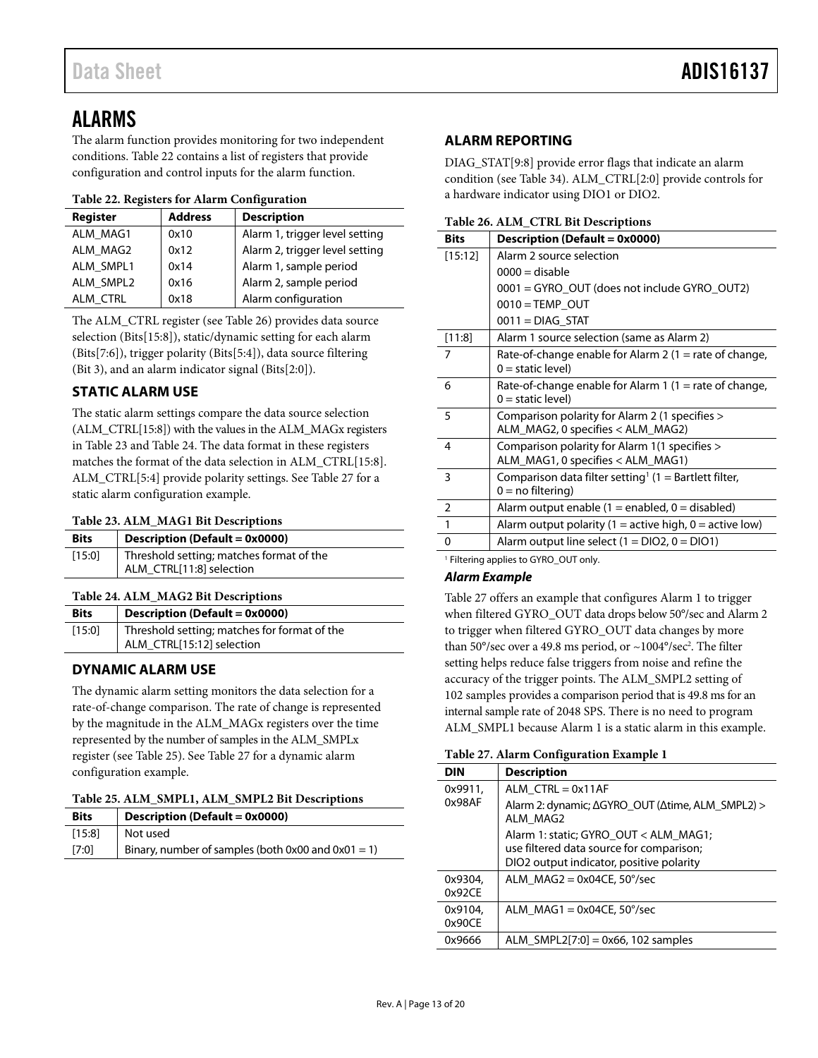# <span id="page-12-0"></span>ALARMS

The alarm function provides monitoring for two independent conditions[. Table 22](#page-12-8) contains a list of registers that provide configuration and control inputs for the alarm function.

## <span id="page-12-8"></span>**Table 22. Registers for Alarm Configuration**

| Register  | <b>Address</b> | <b>Description</b>             |
|-----------|----------------|--------------------------------|
| ALM MAG1  | 0x10           | Alarm 1, trigger level setting |
| ALM MAG2  | 0x12           | Alarm 2, trigger level setting |
| ALM SMPL1 | 0x14           | Alarm 1, sample period         |
| ALM SMPL2 | 0x16           | Alarm 2, sample period         |
| ALM CTRL  | 0x18           | Alarm configuration            |

The ALM\_CTRL register (see [Table 26\)](#page-12-7) provides data source selection (Bits[15:8]), static/dynamic setting for each alarm (Bits[7:6]), trigger polarity (Bits[5:4]), data source filtering (Bit 3), and an alarm indicator signal (Bits[2:0]).

# <span id="page-12-1"></span>**STATIC ALARM USE**

The static alarm settings compare the data source selection (ALM\_CTRL[15:8]) with the values in the ALM\_MAGx registers in [Table 23](#page-12-4) and [Table 24.](#page-12-5) The data format in these registers matches the format of the data selection in ALM\_CTRL[15:8]. ALM\_CTRL[5:4] provide polarity settings. Se[e Table 27](#page-12-9) for a static alarm configuration example.

## <span id="page-12-4"></span>**Table 23. ALM\_MAG1 Bit Descriptions**

| <b>Bits</b> | Description (Default = 0x0000)           |
|-------------|------------------------------------------|
| [15:0]      | Threshold setting; matches format of the |
|             | ALM_CTRL[11:8] selection                 |

# <span id="page-12-5"></span>**Table 24. ALM\_MAG2 Bit Descriptions**

| <b>Bits</b> | <b>Description (Default = 0x0000)</b>                                     |
|-------------|---------------------------------------------------------------------------|
| [15:0]      | Threshold setting; matches for format of the<br>ALM_CTRL[15:12] selection |

# <span id="page-12-2"></span>**DYNAMIC ALARM USE**

The dynamic alarm setting monitors the data selection for a rate-of-change comparison. The rate of change is represented by the magnitude in the ALM\_MAGx registers over the time represented by the number of samples in the ALM\_SMPLx register (se[e Table 25\)](#page-12-6). Se[e Table 27](#page-12-9) for a dynamic alarm configuration example.

## <span id="page-12-6"></span>**Table 25. ALM\_SMPL1, ALM\_SMPL2 Bit Descriptions**

| <b>Bits</b> | <b>Description (Default = 0x0000)</b>                   |
|-------------|---------------------------------------------------------|
| [15:8]      | Not used                                                |
| [7:0]       | Binary, number of samples (both $0x00$ and $0x01 = 1$ ) |

# <span id="page-12-3"></span>**ALARM REPORTING**

DIAG\_STAT[9:8] provide error flags that indicate an alarm condition (see [Table 34\)](#page-15-2). ALM\_CTRL[2:0] provide controls for a hardware indicator using DIO1 or DIO2.

<span id="page-12-7"></span>**Table 26. ALM\_CTRL Bit Descriptions**

| <b>Bits</b>    | Description (Default = 0x0000)                                                           |
|----------------|------------------------------------------------------------------------------------------|
| [15:12]        | Alarm 2 source selection                                                                 |
|                | $0000 =$ disable                                                                         |
|                | 0001 = GYRO_OUT (does not include GYRO_OUT2)                                             |
|                | $0010 = TEMP$ OUT                                                                        |
|                | $0011 = DIAG$ STAT                                                                       |
| [11:8]         | Alarm 1 source selection (same as Alarm 2)                                               |
| $\overline{7}$ | Rate-of-change enable for Alarm 2 (1 = rate of change,<br>$0 =$ static level)            |
| 6              | Rate-of-change enable for Alarm 1 (1 = rate of change,<br>$0 =$ static level)            |
| 5              | Comparison polarity for Alarm 2 (1 specifies ><br>ALM_MAG2, 0 specifies < ALM_MAG2)      |
| $\overline{4}$ | Comparison polarity for Alarm 1(1 specifies ><br>ALM_MAG1, 0 specifies < ALM_MAG1)       |
| 3              | Comparison data filter setting <sup>1</sup> (1 = Bartlett filter,<br>$0 = no$ filtering) |
| $\overline{2}$ | Alarm output enable $(1 =$ enabled, $0 =$ disabled)                                      |
| $\overline{1}$ | Alarm output polarity (1 = active high, 0 = active low)                                  |
| 0              | Alarm output line select $(1 = DIO2, 0 = DIO1)$                                          |

<sup>1</sup> Filtering applies to GYRO\_OUT only.

# *Alarm Example*

[Table 27](#page-12-9) offers an example that configures Alarm 1 to trigger when filtered GYRO\_OUT data drops below 50°/sec and Alarm 2 to trigger when filtered GYRO\_OUT data changes by more than 50°/sec over a 49.8 ms period, or  $\sim$ 1004°/sec<sup>2</sup>. The filter setting helps reduce false triggers from noise and refine the accuracy of the trigger points. The ALM\_SMPL2 setting of 102 samples provides a comparison period that is 49.8 ms for an internal sample rate of 2048 SPS. There is no need to program ALM\_SMPL1 because Alarm 1 is a static alarm in this example.

#### <span id="page-12-9"></span>**Table 27. Alarm Configuration Example 1**

| <b>DIN</b>        | <b>Description</b>                                                                |
|-------------------|-----------------------------------------------------------------------------------|
| 0x9911,           | ALM $CTR = 0x11AF$                                                                |
| 0x98AF            | Alarm 2: dynamic; ΔGYRO OUT (Δtime, ALM SMPL2) ><br>ALM MAG2                      |
|                   | Alarm 1: static; GYRO_OUT < ALM_MAG1;<br>use filtered data source for comparison; |
|                   | DIO2 output indicator, positive polarity                                          |
| 0x9304,<br>0x92CF | ALM $MAG2 = 0x04CE$ , 50°/sec                                                     |
| 0x9104.<br>0x90CE | ALM $MAG1 = 0x04CE$ , 50°/sec                                                     |
| 0x9666            | ALM SMPL2[7:0] = $0x66$ , 102 samples                                             |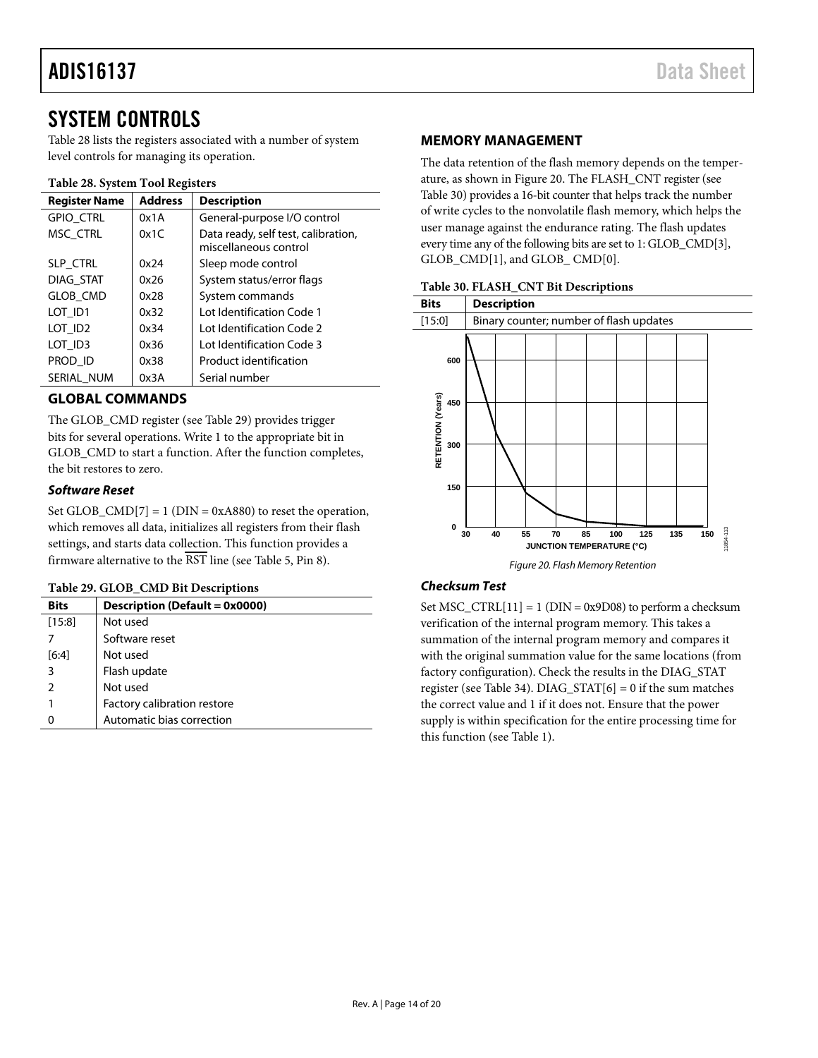# <span id="page-13-0"></span>SYSTEM CONTROLS

[Table 28](#page-13-5) lists the registers associated with a number of system level controls for managing its operation.

## <span id="page-13-5"></span>**Table 28. System Tool Registers**

| <b>Register Name</b> | <b>Address</b> | <b>Description</b>                                           |
|----------------------|----------------|--------------------------------------------------------------|
| GPIO_CTRL            | 0x1A           | General-purpose I/O control                                  |
| MSC CTRL             | 0x1C           | Data ready, self test, calibration,<br>miscellaneous control |
| SLP_CTRL             | 0x24           | Sleep mode control                                           |
| DIAG STAT            | 0x26           | System status/error flags                                    |
| <b>GLOB CMD</b>      | 0x28           | System commands                                              |
| LOT ID1              | 0x32           | Lot Identification Code 1                                    |
| LOT ID <sub>2</sub>  | 0x34           | Lot Identification Code 2                                    |
| LOT ID3              | 0x36           | Lot Identification Code 3                                    |
| PROD ID              | 0x38           | Product identification                                       |
| SERIAL NUM           | 0x3A           | Serial number                                                |

# <span id="page-13-1"></span>**GLOBAL COMMANDS**

The GLOB\_CMD register (see [Table 29\)](#page-13-4) provides trigger bits for several operations. Write 1 to the appropriate bit in GLOB\_CMD to start a function. After the function completes, the bit restores to zero.

# *Software Reset*

Set GLOB  $\text{CMD}[7] = 1 \text{ (DIN} = 0 \text{x}A880)$  to reset the operation, which removes all data, initializes all registers from their flash settings, and starts data collection. This function provides a firmware alternative to the RST line (se[e Table 5,](#page-5-1) Pin 8).

## <span id="page-13-4"></span>**Table 29. GLOB\_CMD Bit Descriptions**

| <b>Bits</b> | Description (Default = 0x0000) |
|-------------|--------------------------------|
| [15:8]      | Not used                       |
|             | Software reset                 |
| [6:4]       | Not used                       |
| 3           | Flash update                   |
|             | Not used                       |
|             | Factory calibration restore    |
|             | Automatic bias correction      |

## <span id="page-13-2"></span>**MEMORY MANAGEMENT**

The data retention of the flash memory depends on the temperature, as shown i[n Figure 20.](#page-13-6) The FLASH\_CNT register (see [Table 30\)](#page-13-3) provides a 16-bit counter that helps track the number of write cycles to the nonvolatile flash memory, which helps the user manage against the endurance rating. The flash updates every time any of the following bits are set to 1: GLOB\_CMD[3], GLOB\_CMD[1], and GLOB\_ CMD[0].

<span id="page-13-3"></span>

| Table 30. FLASH_CNT Bit Descriptions |  |
|--------------------------------------|--|
|--------------------------------------|--|



# <span id="page-13-6"></span>*Checksum Test*

Set MSC\_CTRL $[11] = 1$  (DIN = 0x9D08) to perform a checksum verification of the internal program memory. This takes a summation of the internal program memory and compares it with the original summation value for the same locations (from factory configuration). Check the results in the DIAG\_STAT register (se[e Table 34\)](#page-15-2). DIAG\_STAT $[6] = 0$  if the sum matches the correct value and 1 if it does not. Ensure that the power supply is within specification for the entire processing time for this function (see [Table 1\)](#page-2-1).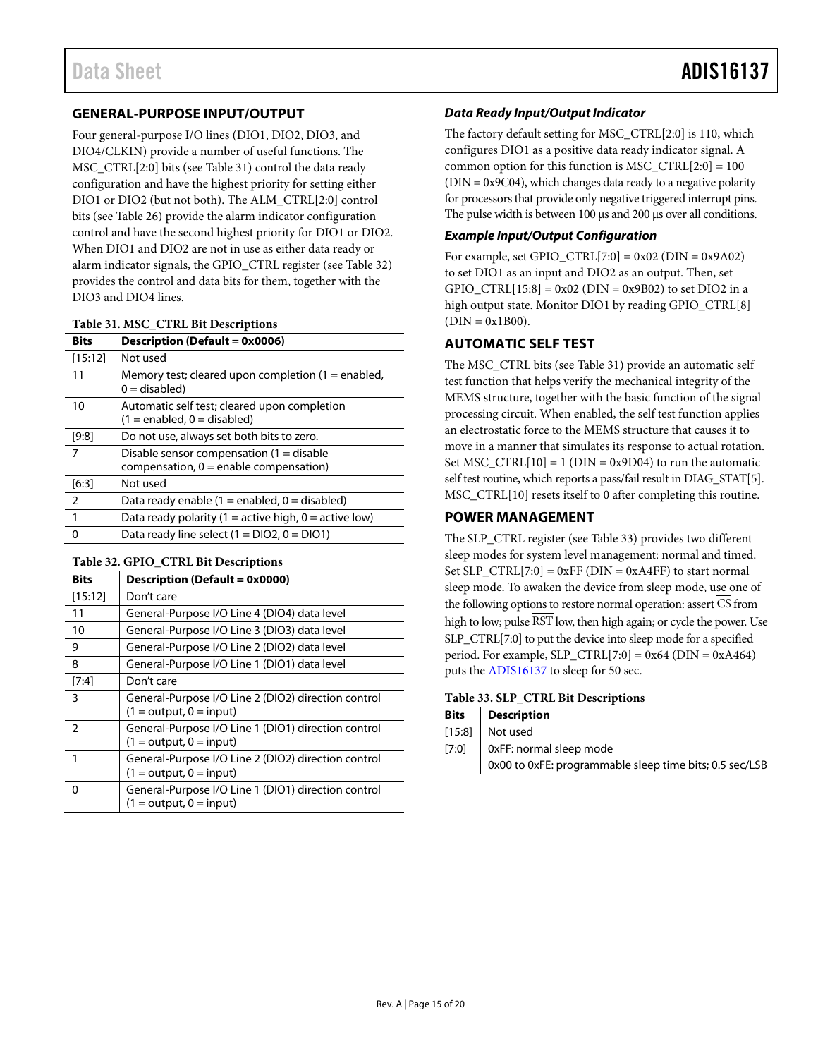# <span id="page-14-0"></span>**GENERAL-PURPOSE INPUT/OUTPUT**

Four general-purpose I/O lines (DIO1, DIO2, DIO3, and DIO4/CLKIN) provide a number of useful functions. The MSC\_CTRL[2:0] bits (see [Table 31\)](#page-14-4) control the data ready configuration and have the highest priority for setting either DIO1 or DIO2 (but not both). The ALM\_CTRL[2:0] control bits (see [Table 26\)](#page-12-7) provide the alarm indicator configuration control and have the second highest priority for DIO1 or DIO2. When DIO1 and DIO2 are not in use as either data ready or alarm indicator signals, the GPIO\_CTRL register (see [Table 32\)](#page-14-3) provides the control and data bits for them, together with the DIO3 and DIO4 lines.

#### <span id="page-14-4"></span>**Table 31. MSC\_CTRL Bit Descriptions**

| <b>Bits</b>    | <b>Description (Default = 0x0006)</b>                                                  |
|----------------|----------------------------------------------------------------------------------------|
| [15:12]        | Not used                                                                               |
| 11             | Memory test; cleared upon completion $(1 =$ enabled,<br>$0 =$ disabled)                |
| 10             | Automatic self test; cleared upon completion<br>$(1 =$ enabled, $0 =$ disabled)        |
| [9:8]          | Do not use, always set both bits to zero.                                              |
| $\overline{7}$ | Disable sensor compensation $(1 -$ disable<br>compensation, $0 =$ enable compensation) |
| [6:3]          | Not used                                                                               |
| 2              | Data ready enable $(1 =$ enabled, $0 =$ disabled)                                      |
| $\mathbf{1}$   | Data ready polarity (1 = active high, 0 = active low)                                  |
| $\Omega$       | Data ready line select $(1 = DIO2, 0 = DIO1)$                                          |

#### <span id="page-14-3"></span>**Table 32. GPIO\_CTRL Bit Descriptions**

| <b>Bits</b> | Description (Default = 0x0000)                                                   |
|-------------|----------------------------------------------------------------------------------|
| [15:12]     | Don't care                                                                       |
| 11          | General-Purpose I/O Line 4 (DIO4) data level                                     |
| 10          | General-Purpose I/O Line 3 (DIO3) data level                                     |
| 9           | General-Purpose I/O Line 2 (DIO2) data level                                     |
| 8           | General-Purpose I/O Line 1 (DIO1) data level                                     |
| $[7:4]$     | Don't care                                                                       |
| 3           | General-Purpose I/O Line 2 (DIO2) direction control<br>$(1 = output, 0 = input)$ |
| 2           | General-Purpose I/O Line 1 (DIO1) direction control<br>$(1 = output, 0 = input)$ |
| 1           | General-Purpose I/O Line 2 (DIO2) direction control<br>$(1 = output, 0 = input)$ |
| $\Omega$    | General-Purpose I/O Line 1 (DIO1) direction control<br>$(1 = output, 0 = input)$ |

## *Data Ready Input/Output Indicator*

The factory default setting for MSC\_CTRL[2:0] is 110, which configures DIO1 as a positive data ready indicator signal. A common option for this function is MSC\_CTRL $[2:0] = 100$ (DIN = 0x9C04), which changes data ready to a negative polarity for processors that provide only negative triggered interrupt pins. The pulse width is between 100 µs and 200 µs over all conditions.

## *Example Input/Output Configuration*

For example, set GPIO\_CTRL $[7:0] = 0x02$  (DIN = 0x9A02) to set DIO1 as an input and DIO2 as an output. Then, set GPIO CTRL[15:8] = 0x02 (DIN = 0x9B02) to set DIO2 in a high output state. Monitor DIO1 by reading GPIO\_CTRL[8]  $(DIN = 0x1B00).$ 

# <span id="page-14-1"></span>**AUTOMATIC SELF TEST**

The MSC\_CTRL bits (se[e Table 31\)](#page-14-4) provide an automatic self test function that helps verify the mechanical integrity of the MEMS structure, together with the basic function of the signal processing circuit. When enabled, the self test function applies an electrostatic force to the MEMS structure that causes it to move in a manner that simulates its response to actual rotation. Set  $MSC_CTRL[10] = 1$  (DIN = 0x9D04) to run the automatic self test routine, which reports a pass/fail result in DIAG\_STAT[5]. MSC\_CTRL[10] resets itself to 0 after completing this routine.

# <span id="page-14-2"></span>**POWER MANAGEMENT**

The SLP\_CTRL register (se[e Table 33\)](#page-14-5) provides two different sleep modes for system level management: normal and timed. Set SLP\_CTRL[7:0] =  $0xFF$  (DIN =  $0xA4FF$ ) to start normal sleep mode. To awaken the device from sleep mode, use one of the following options to restore normal operation: assert  $\overline{\text{CS}}$  from high to low; pulse RST low, then high again; or cycle the power. Use SLP\_CTRL[7:0] to put the device into sleep mode for a specified period. For example,  $SLP_CTRL[7:0] = 0x64$  (DIN = 0xA464) puts th[e ADIS16137](http://www.analog.com/ADIS16137?doc=ADIS16137.pdf) to sleep for 50 sec.

<span id="page-14-5"></span>**Table 33. SLP\_CTRL Bit Descriptions**

| <b>Bits</b> | <b>Description</b>                                      |
|-------------|---------------------------------------------------------|
| [15:8]      | Not used                                                |
| [7:0]       | OxFF: normal sleep mode                                 |
|             | 0x00 to 0xFE: programmable sleep time bits; 0.5 sec/LSB |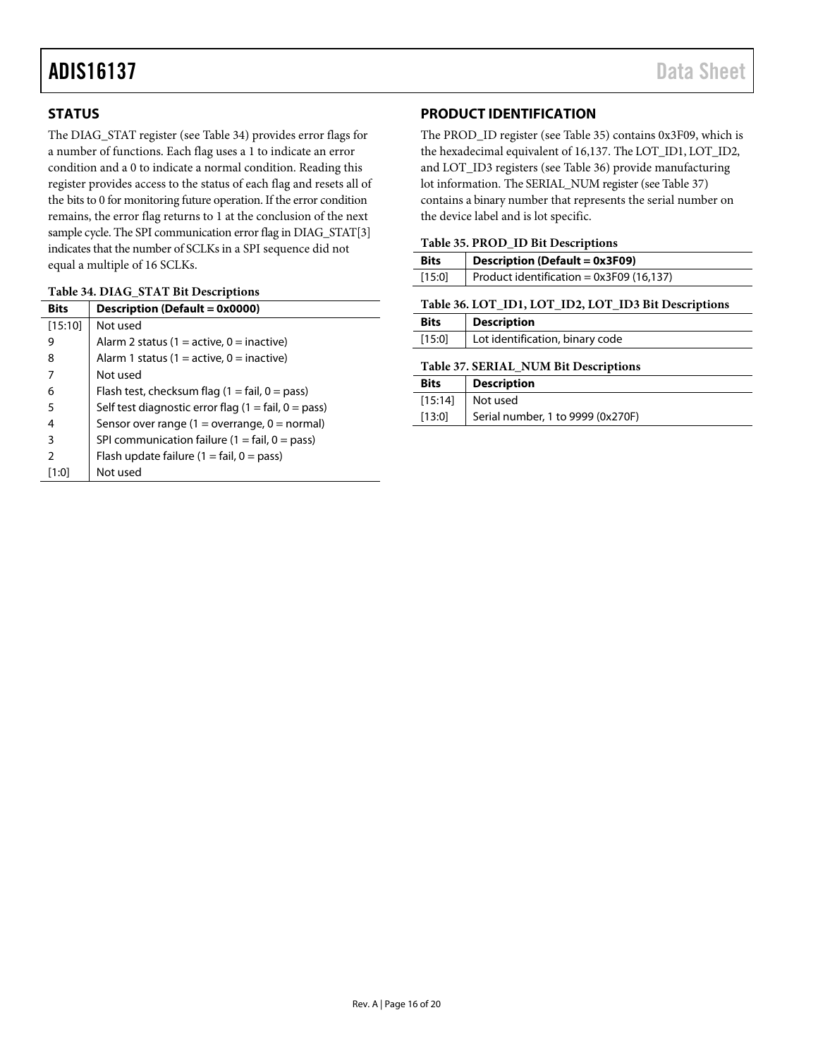# <span id="page-15-0"></span>**STATUS**

The DIAG\_STAT register (see [Table 34\)](#page-15-2) provides error flags for a number of functions. Each flag uses a 1 to indicate an error condition and a 0 to indicate a normal condition. Reading this register provides access to the status of each flag and resets all of the bits to 0 for monitoring future operation. If the error condition remains, the error flag returns to 1 at the conclusion of the next sample cycle. The SPI communication error flag in DIAG\_STAT[3] indicates that the number of SCLKs in a SPI sequence did not equal a multiple of 16 SCLKs.

### <span id="page-15-2"></span>**Table 34. DIAG\_STAT Bit Descriptions**

| <b>Bits</b>   | Description (Default = 0x0000)                                       |  |  |
|---------------|----------------------------------------------------------------------|--|--|
| [15:10]       | Not used                                                             |  |  |
| 9             | Alarm 2 status (1 = active, 0 = inactive)                            |  |  |
| 8             | Alarm 1 status (1 = active, 0 = inactive)                            |  |  |
|               | Not used                                                             |  |  |
| 6             | Flash test, checksum flag $(1 = \text{fail}, 0 = \text{pass})$       |  |  |
| 5             | Self test diagnostic error flag $(1 = \text{fail}, 0 = \text{pass})$ |  |  |
| 4             | Sensor over range (1 = overrange, 0 = normal)                        |  |  |
| 3             | SPI communication failure $(1 = \text{fail}, 0 = \text{pass})$       |  |  |
| $\mathcal{P}$ | Flash update failure $(1 = \text{fail}, 0 = \text{pass})$            |  |  |
| [1:0]         | Not used                                                             |  |  |

# <span id="page-15-1"></span>**PRODUCT IDENTIFICATION**

The PROD\_ID register (see [Table 35\)](#page-15-4) contains 0x3F09, which is the hexadecimal equivalent of 16,137. The LOT\_ID1, LOT\_ID2, and LOT\_ID3 registers (see [Table 36\)](#page-15-3) provide manufacturing lot information. The SERIAL\_NUM register (se[e Table 37\)](#page-15-5) contains a binary number that represents the serial number on the device label and is lot specific.

### <span id="page-15-4"></span>**Table 35. PROD\_ID Bit Descriptions**

| <b>Bits</b> | <b>Description (Default = 0x3F09)</b>                                                |  |  |
|-------------|--------------------------------------------------------------------------------------|--|--|
| [15:0]      | Product identification = $0x3F09(16,137)$                                            |  |  |
|             | $m$ 11 $\alpha$ ( $r$ off $m$ ) $r$ off $m$ $\alpha$ $r$ off $m$ $\alpha$ $m$ ). $n$ |  |  |

<span id="page-15-3"></span>

|  |  |  |  |  | Table 36. LOT_ID1, LOT_ID2, LOT_ID3 Bit Descriptions |
|--|--|--|--|--|------------------------------------------------------|
|--|--|--|--|--|------------------------------------------------------|

| <b>Bits</b> | <b>Description</b>              |  |  |
|-------------|---------------------------------|--|--|
| [15:0]      | Lot identification, binary code |  |  |

### <span id="page-15-5"></span>**Table 37. SERIAL\_NUM Bit Descriptions**

| <b>Bits</b> | <b>Description</b>                |
|-------------|-----------------------------------|
| [15:14]     | Not used                          |
| [13:0]      | Serial number, 1 to 9999 (0x270F) |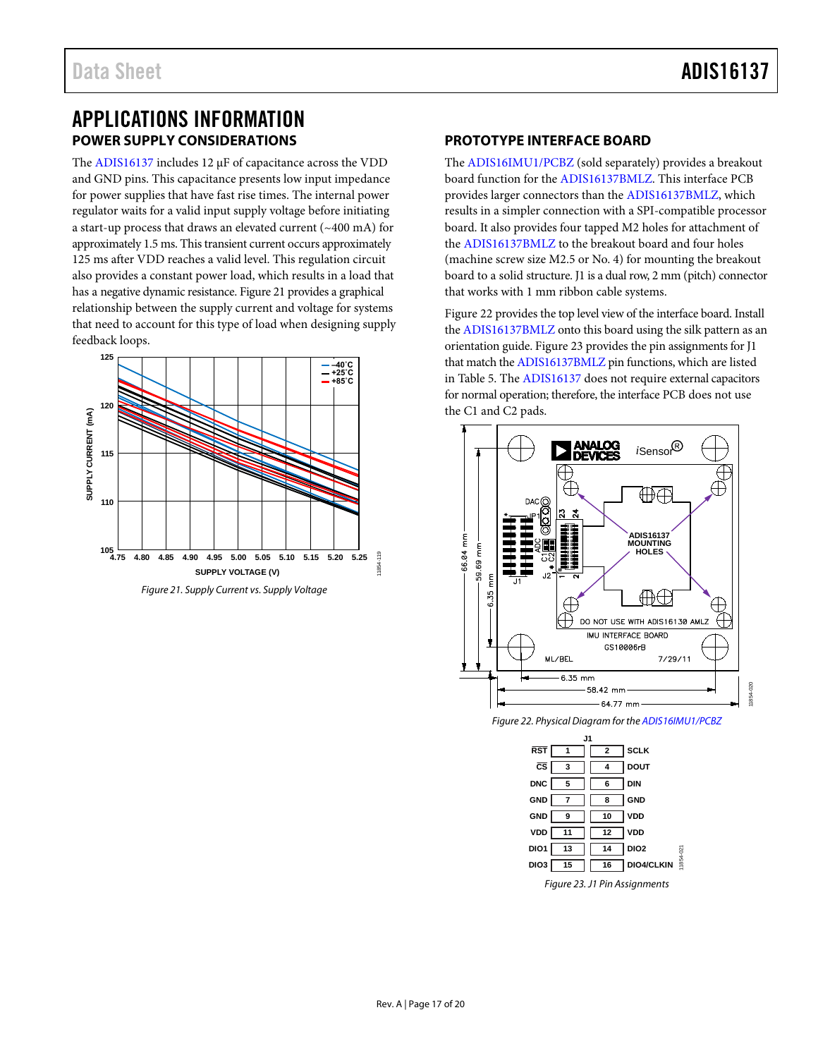# <span id="page-16-1"></span><span id="page-16-0"></span>APPLICATIONS INFORMATION **POWER SUPPLY CONSIDERATIONS**

The [ADIS16137](http://www.analog.com/ADIS16137?doc=ADIS16137.pdf) includes 12  $\mu$ F of capacitance across the VDD and GND pins. This capacitance presents low input impedance for power supplies that have fast rise times. The internal power regulator waits for a valid input supply voltage before initiating a start-up process that draws an elevated current (~400 mA) for approximately 1.5 ms. This transient current occurs approximately 125 ms after VDD reaches a valid level. This regulation circuit also provides a constant power load, which results in a load that has a negative dynamic resistance[. Figure 21](#page-16-3) provides a graphical relationship between the supply current and voltage for systems that need to account for this type of load when designing supply feedback loops.



<span id="page-16-3"></span>*Figure 21. Supply Current vs. Supply Voltage*

# <span id="page-16-2"></span>**PROTOTYPE INTERFACE BOARD**

The [ADIS16IMU1/PCBZ](http://www.analog.com/ADIS16IMU1/PCBZ?doc=ADIS16137.pdf) (sold separately) provides a breakout board function for th[e ADIS16137BMLZ.](http://www.analog.com/ADIS16137AMLZ?doc=ADIS16137.pdf) This interface PCB provides larger connectors than the [ADIS16137BMLZ,](http://www.analog.com/ADIS16137AMLZ?doc=ADIS16137.pdf) which results in a simpler connection with a SPI-compatible processor board. It also provides four tapped M2 holes for attachment of the [ADIS16137BMLZ](http://www.analog.com/ADIS16137AMLZ?doc=ADIS16137.pdf) to the breakout board and four holes (machine screw size M2.5 or No. 4) for mounting the breakout board to a solid structure. J1 is a dual row, 2 mm (pitch) connector that works with 1 mm ribbon cable systems.

[Figure 22](#page-16-4) provides the top level view of the interface board. Install the [ADIS16137BMLZ](http://www.analog.com/ADIS16137AMLZ?doc=ADIS16137.pdf) onto this board using the silk pattern as an orientation guide. [Figure 23](#page-16-5) provides the pin assignments for J1 that match th[e ADIS16137BMLZ](http://www.analog.com/ADIS16137AMLZ?doc=ADIS16137.pdf) pin functions, which are listed in [Table 5.](#page-5-1) Th[e ADIS16137](http://www.analog.com/ADIS16137?doc=ADIS16137.pdf) does not require external capacitors for normal operation; therefore, the interface PCB does not use the C1 and C2 pads.



<span id="page-16-4"></span>*Figure 22. Physical Diagram for th[e ADIS16IMU1/PCBZ](http://www.analog.com/ADIS16IMU1/PCBZ?doc=ADIS16137.pdf)*

<span id="page-16-5"></span>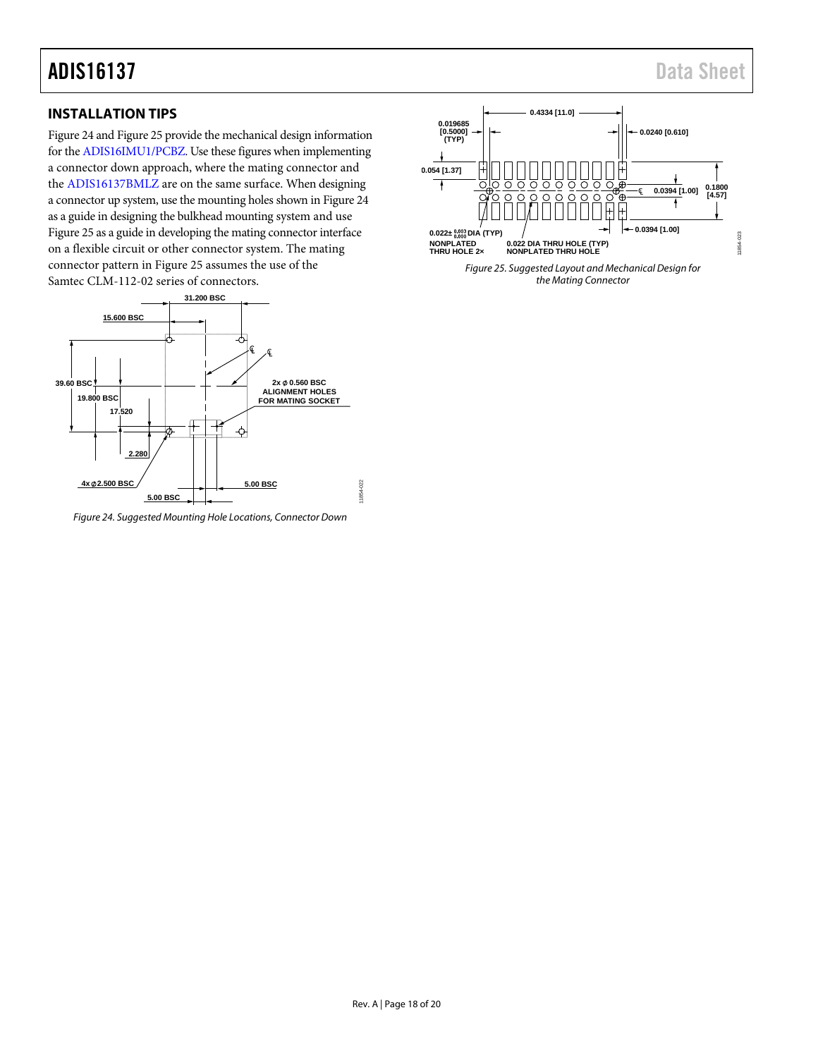# ADIS16137 Data Sheet

# <span id="page-17-0"></span>**INSTALLATION TIPS**

[Figure 24](#page-17-1) an[d Figure 25](#page-17-2) provide the mechanical design information for th[e ADIS16IMU1/PCBZ.](http://www.analog.com/ADIS16IMU1/PCBZ?doc=ADIS16137.pdf) Use these figures when implementing a connector down approach, where the mating connector and the [ADIS16137BMLZ](http://www.analog.com/ADIS16137AMLZ?doc=ADIS16137.pdf) are on the same surface. When designing a connector up system, use the mounting holes shown i[n Figure 24](#page-17-1) as a guide in designing the bulkhead mounting system and use [Figure 25](#page-17-2) as a guide in developing the mating connector interface on a flexible circuit or other connector system. The mating connector pattern in [Figure 25](#page-17-2) assumes the use of the Samtec CLM-112-02 series of connectors.



<span id="page-17-1"></span>

<span id="page-17-2"></span>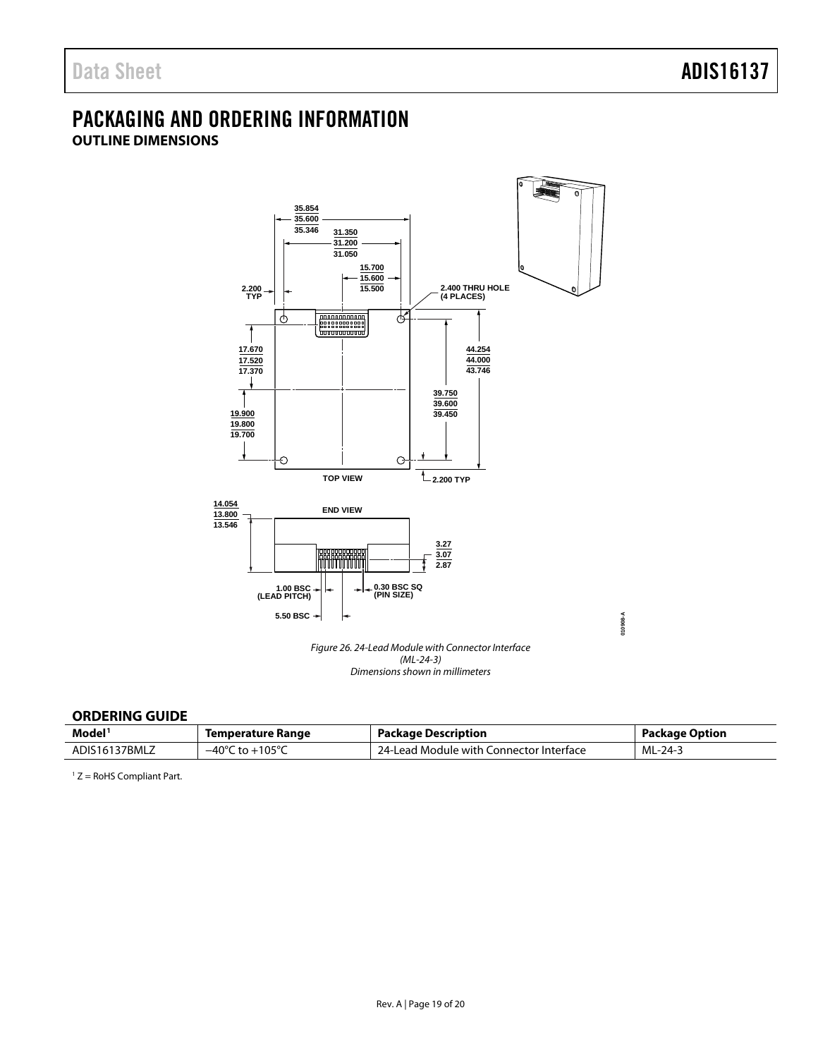# <span id="page-18-1"></span><span id="page-18-0"></span>PACKAGING AND ORDERING INFORMATION **OUTLINE DIMENSIONS**



#### <span id="page-18-2"></span>**ORDERING GUIDE**

| Model <sup>1</sup> | Temperature Range                   | Package Description                     | <b>Package Option</b> |
|--------------------|-------------------------------------|-----------------------------------------|-----------------------|
| ADIS16137BMLZ      | $-40^{\circ}$ C to $+105^{\circ}$ C | 24-Lead Module with Connector Interface | ML-24-3               |

<sup>1</sup> Z = RoHS Compliant Part.